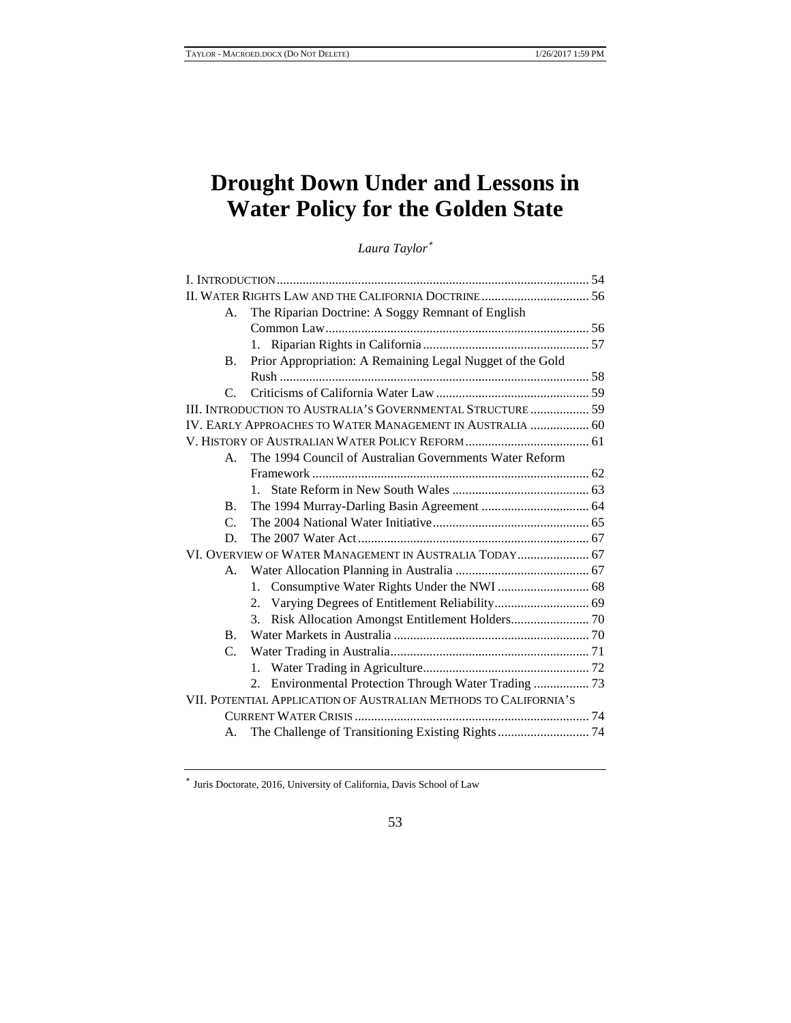# **Drought Down Under and Lessons in Water Policy for the Golden State**

*Laura Taylor*<sup>∗</sup>

# 53

<sup>∗</sup> Juris Doctorate, 2016, University of California, Davis School of Law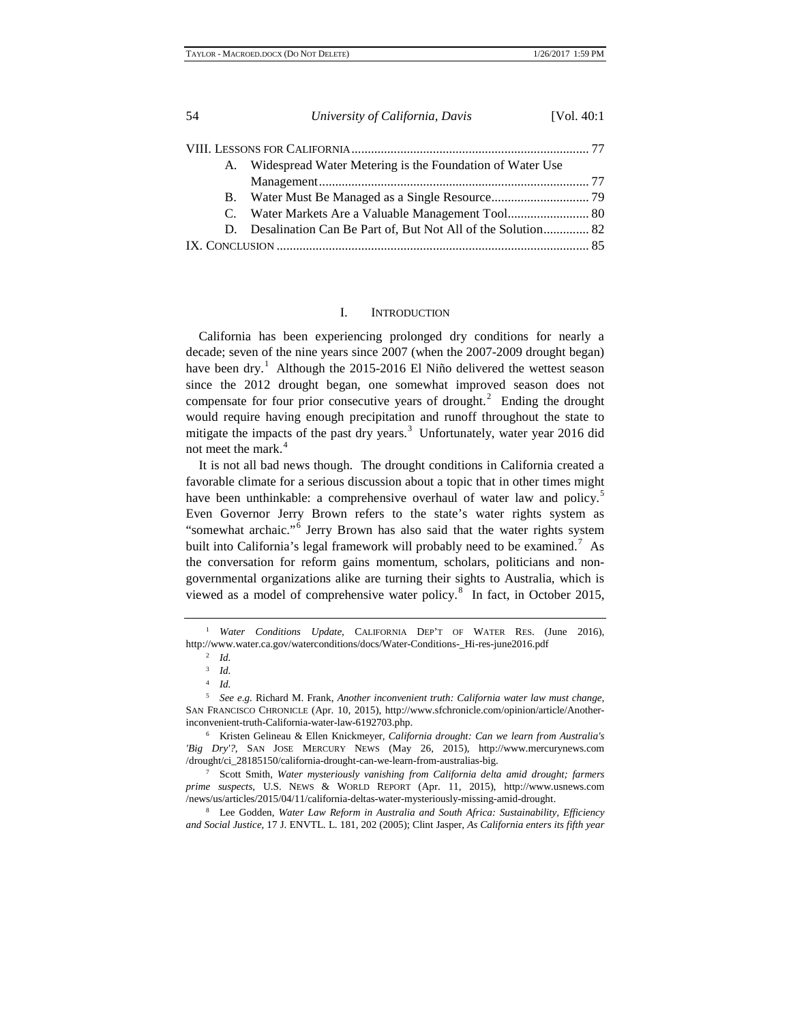|    | University of California, Davis                                | [Vol. 40:1] |
|----|----------------------------------------------------------------|-------------|
|    |                                                                |             |
| A. | Widespread Water Metering is the Foundation of Water Use       |             |
|    |                                                                |             |
|    |                                                                |             |
| C. |                                                                |             |
|    | D. Desalination Can Be Part of, But Not All of the Solution 82 |             |
|    |                                                                |             |

# I. INTRODUCTION

California has been experiencing prolonged dry conditions for nearly a decade; seven of the nine years since 2007 (when the 2007-2009 drought began) have been dry.<sup>[1](#page-1-0)</sup> Although the 2015-2016 El Niño delivered the wettest season since the 2012 drought began, one somewhat improved season does not compensate for four prior consecutive years of drought.<sup>[2](#page-1-1)</sup> Ending the drought would require having enough precipitation and runoff throughout the state to mitigate the impacts of the past dry years. $3$  Unfortunately, water year 2016 did not meet the mark.<sup>[4](#page-1-3)</sup>

It is not all bad news though. The drought conditions in California created a favorable climate for a serious discussion about a topic that in other times might have been unthinkable: a comprehensive overhaul of water law and policy.<sup>[5](#page-1-4)</sup> Even Governor Jerry Brown refers to the state's water rights system as "somewhat archaic."[6](#page-1-5) Jerry Brown has also said that the water rights system built into California's legal framework will probably need to be examined.<sup>[7](#page-1-6)</sup> As the conversation for reform gains momentum, scholars, politicians and nongovernmental organizations alike are turning their sights to Australia, which is viewed as a model of comprehensive water policy.<sup>[8](#page-2-0)</sup> In fact, in October 2015,

<span id="page-1-0"></span><sup>&</sup>lt;sup>1</sup> *Water Conditions Update*, CALIFORNIA DEP'T OF WATER RES. (June 2016), http://www.water.ca.gov/waterconditions/docs/Water-Conditions-\_Hi-res-june2016.pdf

<sup>2</sup> *Id.*

<sup>3</sup> *Id.*

<sup>4</sup> *Id.*

<span id="page-1-3"></span><span id="page-1-2"></span><span id="page-1-1"></span><sup>5</sup> *See e.g.* Richard M. Frank, *Another inconvenient truth: California water law must change*, SAN FRANCISCO CHRONICLE (Apr. 10, 2015), http://www.sfchronicle.com/opinion/article/Anotherinconvenient-truth-California-water-law-6192703.php.<br><sup>6</sup> Kristen Gelineau & Ellen Knickmeyer, *California drought: Can we learn from Australia's* 

<span id="page-1-4"></span>*<sup>&#</sup>x27;Big Dry'?*, SAN JOSE MERCURY NEWS (May 26, 2015), http://www.mercurynews.com /drought/ci\_28185150/california-drought-can-we-learn-from-australias-big. 7 Scott Smith, *Water mysteriously vanishing from California delta amid drought; farmers* 

<span id="page-1-6"></span><span id="page-1-5"></span>*prime suspects*, U.S. NEWS & WORLD REPORT (Apr. 11, 2015), http://www.usnews.com

<sup>&</sup>lt;sup>8</sup> Lee Godden, Water Law Reform in Australia and South Africa: Sustainability, Efficiency *and Social Justice*, 17 J. ENVTL. L. 181, 202 (2005); Clint Jasper, *As California enters its fifth year*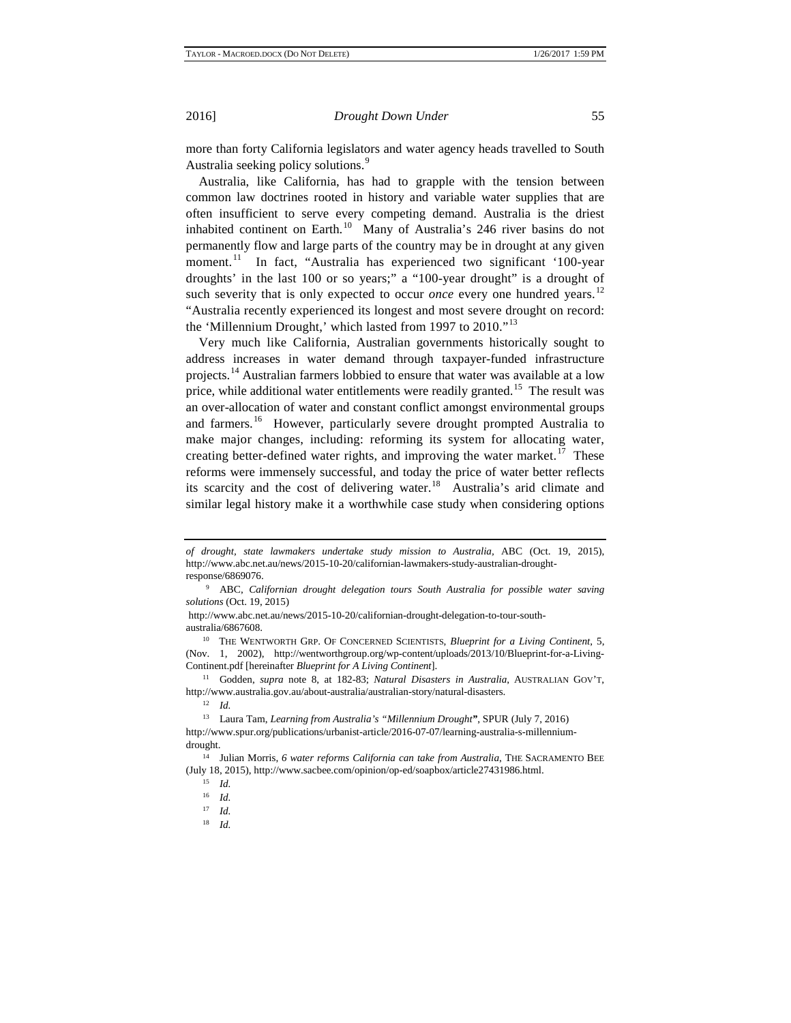more than forty California legislators and water agency heads travelled to South Australia seeking policy solutions.<sup>[9](#page-2-1)</sup>

Australia, like California, has had to grapple with the tension between common law doctrines rooted in history and variable water supplies that are often insufficient to serve every competing demand. Australia is the driest inhabited continent on Earth.<sup>[10](#page-2-2)</sup> Many of Australia's 246 river basins do not permanently flow and large parts of the country may be in drought at any given moment.<sup>11</sup> In fact, "Australia has experienced two significant '100-year droughts' in the last 100 or so years;" a "100-year drought" is a drought of such severity that is only expected to occur *once* every one hundred years.<sup>[12](#page-2-4)</sup> "Australia recently experienced its longest and most severe drought on record: the 'Millennium Drought,' which lasted from 1997 to 2010."<sup>[13](#page-2-5)</sup>

Very much like California, Australian governments historically sought to address increases in water demand through taxpayer-funded infrastructure projects.<sup>[14](#page-2-6)</sup> Australian farmers lobbied to ensure that water was available at a low price, while additional water entitlements were readily granted.<sup>[15](#page-2-7)</sup> The result was an over-allocation of water and constant conflict amongst environmental groups and farmers.<sup>16</sup> However, particularly severe drought prompted Australia to make major changes, including: reforming its system for allocating water, creating better-defined water rights, and improving the water market.<sup>[17](#page-3-0)</sup> These reforms were immensely successful, and today the price of water better reflects its scarcity and the cost of delivering water.<sup>18</sup> Australia's arid climate and similar legal history make it a worthwhile case study when considering options

http://www.abc.net.au/news/2015-10-20/californian-drought-delegation-to-tour-southaustralia/6867608.

<span id="page-2-0"></span>*of drought, state lawmakers undertake study mission to Australia,* ABC (Oct. 19, 2015), http://www.abc.net.au/news/2015-10-20/californian-lawmakers-study-australian-droughtresponse/6869076.

<span id="page-2-1"></span><sup>9</sup> ABC, *Californian drought delegation tours South Australia for possible water saving solutions* (Oct. 19, 2015)

<span id="page-2-2"></span><sup>&</sup>lt;sup>10</sup> THE WENTWORTH GRP. OF CONCERNED SCIENTISTS, *Blueprint for a Living Continent*, 5, (Nov. 1, 2002), http://wentworthgroup.org/wp-content/uploads/2013/10/Blueprint-for-a-Living-Continent.pdf [hereinafter *Blueprint for A Living Continent*].

<span id="page-2-3"></span><sup>11</sup> Godden, *supra* note 8, at 182-83; *Natural Disasters in Australia*, AUSTRALIAN GOV'T, http://www.australia.gov.au/about-australia/australian-story/natural-disasters.

<span id="page-2-4"></span><sup>13</sup> Laura Tam, *Learning from Australia's "Millennium Drought"*, SPUR (July 7, 2016) http://www.spur.org/publications/urbanist-article/2016-07-07/learning-australia-s-millenniumdrought.

<span id="page-2-8"></span><span id="page-2-7"></span><span id="page-2-6"></span><span id="page-2-5"></span><sup>&</sup>lt;sup>14</sup> Julian Morris, 6 water reforms California can take from Australia, THE SACRAMENTO BEE (July 18, 2015), http://www.sacbee.com/opinion/op-ed/soapbox/article27431986.html.

<sup>15</sup> *Id.*

<sup>16</sup> *Id.*

<sup>17</sup> *Id.*

<sup>18</sup> *Id.*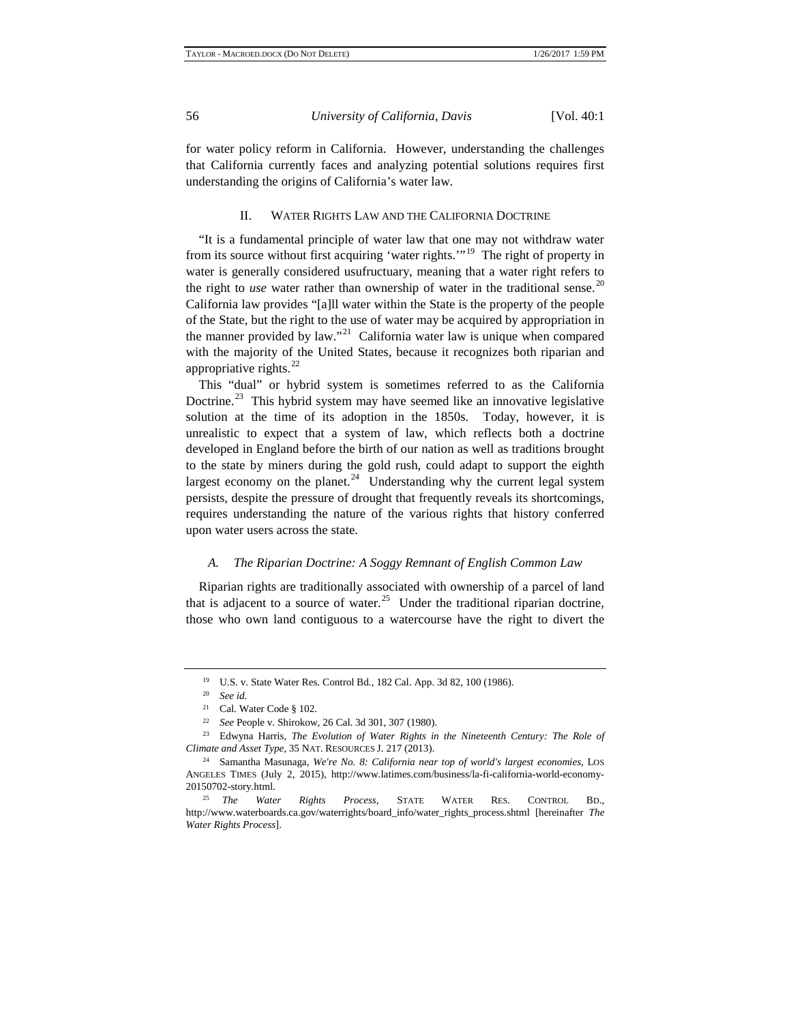for water policy reform in California. However, understanding the challenges that California currently faces and analyzing potential solutions requires first understanding the origins of California's water law.

# II. WATER RIGHTS LAW AND THE CALIFORNIA DOCTRINE

"It is a fundamental principle of water law that one may not withdraw water from its source without first acquiring 'water rights.'"[19](#page-3-2) The right of property in water is generally considered usufructuary, meaning that a water right refers to the right to *use* water rather than ownership of water in the traditional sense.<sup>[20](#page-3-3)</sup> California law provides "[a]ll water within the State is the property of the people of the State, but the right to the use of water may be acquired by appropriation in the manner provided by law."<sup>[21](#page-3-4)</sup> California water law is unique when compared with the majority of the United States, because it recognizes both riparian and appropriative rights. $^{22}$  $^{22}$  $^{22}$ 

This "dual" or hybrid system is sometimes referred to as the California Doctrine.<sup>23</sup> This hybrid system may have seemed like an innovative legislative solution at the time of its adoption in the 1850s. Today, however, it is unrealistic to expect that a system of law, which reflects both a doctrine developed in England before the birth of our nation as well as traditions brought to the state by miners during the gold rush, could adapt to support the eighth largest economy on the planet.<sup>[24](#page-3-7)</sup> Understanding why the current legal system persists, despite the pressure of drought that frequently reveals its shortcomings, requires understanding the nature of the various rights that history conferred upon water users across the state.

# *A. The Riparian Doctrine: A Soggy Remnant of English Common Law*

Riparian rights are traditionally associated with ownership of a parcel of land that is adjacent to a source of water.<sup>[25](#page-4-0)</sup> Under the traditional riparian doctrine, those who own land contiguous to a watercourse have the right to divert the

<sup>19</sup> U.S. v. State Water Res. Control Bd., 182 Cal. App. 3d 82, 100 (1986).

<sup>20</sup> *See id.*

<sup>21</sup> Cal. Water Code § 102.

<sup>22</sup> *See* People v. Shirokow, 26 Cal. 3d 301, 307 (1980).

<span id="page-3-3"></span><span id="page-3-2"></span><span id="page-3-1"></span><span id="page-3-0"></span><sup>23</sup> Edwyna Harris, *The Evolution of Water Rights in the Nineteenth Century: The Role of Climate and Asset Type*, 35 NAT. RESOURCES J. 217 (2013).

<span id="page-3-6"></span><span id="page-3-5"></span><span id="page-3-4"></span><sup>24</sup> Samantha Masunaga, *We're No. 8: California near top of world's largest economies,* LOS ANGELES TIMES (July 2, 2015), http://www.latimes.com/business/la-fi-california-world-economy-20150702-story.html.

<span id="page-3-7"></span><sup>25</sup> *The Water Rights Process*, STATE WATER RES. CONTROL BD., http://www.waterboards.ca.gov/waterrights/board\_info/water\_rights\_process.shtml [hereinafter *The Water Rights Process*].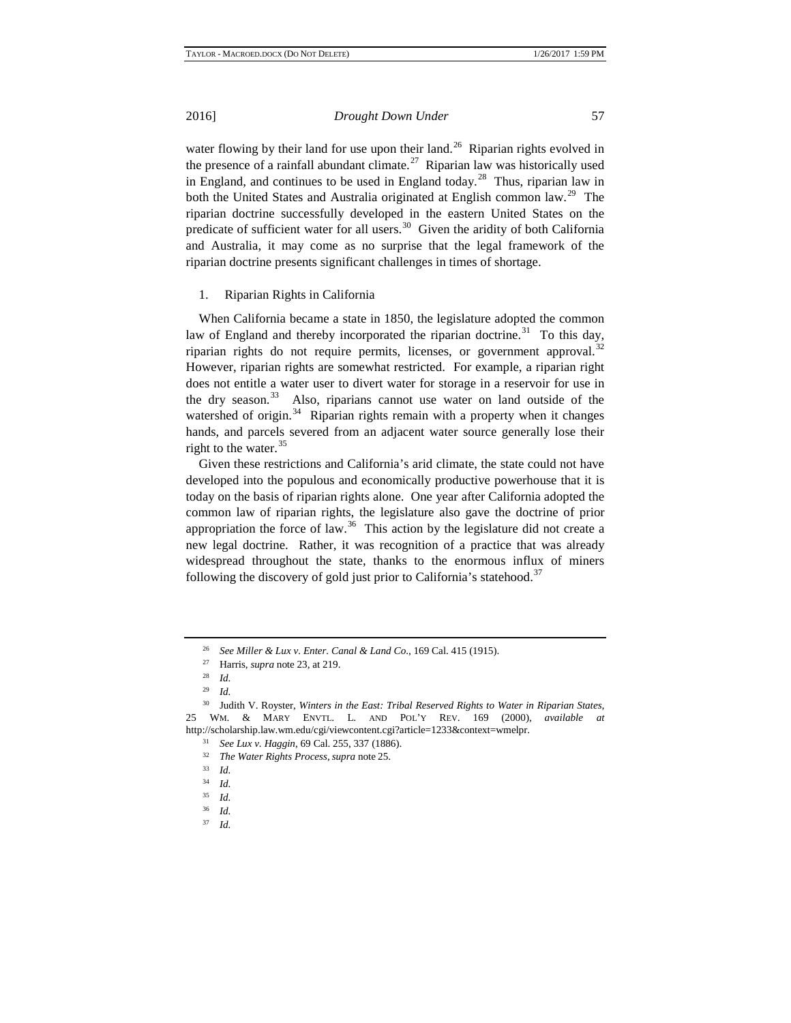water flowing by their land for use upon their land.<sup>26</sup> Riparian rights evolved in the presence of a rainfall abundant climate.<sup>[27](#page-4-2)</sup> Riparian law was historically used in England, and continues to be used in England today.<sup>28</sup> Thus, riparian law in both the United States and Australia originated at English common law.<sup>29</sup> The riparian doctrine successfully developed in the eastern United States on the predicate of sufficient water for all users.<sup>[30](#page-4-5)</sup> Given the aridity of both California and Australia, it may come as no surprise that the legal framework of the riparian doctrine presents significant challenges in times of shortage.

### 1. Riparian Rights in California

When California became a state in 1850, the legislature adopted the common law of England and thereby incorporated the riparian doctrine.<sup>31</sup> To this day, riparian rights do not require permits, licenses, or government approval.<sup>[32](#page-4-7)</sup> However, riparian rights are somewhat restricted. For example, a riparian right does not entitle a water user to divert water for storage in a reservoir for use in the dry season. $33$  Also, riparians cannot use water on land outside of the watershed of origin. $34$  Riparian rights remain with a property when it changes hands, and parcels severed from an adjacent water source generally lose their right to the water.  $35$ 

Given these restrictions and California's arid climate, the state could not have developed into the populous and economically productive powerhouse that it is today on the basis of riparian rights alone. One year after California adopted the common law of riparian rights, the legislature also gave the doctrine of prior appropriation the force of law.<sup>36</sup> This action by the legislature did not create a new legal doctrine. Rather, it was recognition of a practice that was already widespread throughout the state, thanks to the enormous influx of miners following the discovery of gold just prior to California's statehood.<sup>[37](#page-5-1)</sup>

<span id="page-4-0"></span><sup>26</sup> *See Miller & Lux v. Enter. Canal & Land Co*., 169 Cal. 415 (1915).

<sup>27</sup> Harris, *supra* note 23, at 219.

<sup>28</sup> *Id.*

<sup>29</sup> *Id.* 

<span id="page-4-8"></span><span id="page-4-7"></span><span id="page-4-6"></span><span id="page-4-5"></span><span id="page-4-4"></span><span id="page-4-3"></span><span id="page-4-2"></span><span id="page-4-1"></span><sup>30</sup> Judith V. Royster, *Winters in the East: Tribal Reserved Rights to Water in Riparian States*, 25 WM. & MARY ENVTL. L. AND POL'Y REV. 169 (2000), *available at* http://scholarship.law.wm.edu/cgi/viewcontent.cgi?article=1233&context=wmelpr.

<sup>31</sup> *See Lux v. Haggin*, 69 Cal. 255, 337 (1886).

<sup>32</sup> *The Water Rights Process*, *supra* note 25.

 $\frac{33}{34}$  *Id.* 

<sup>34</sup> *Id.*

<span id="page-4-10"></span><span id="page-4-9"></span> $rac{35}{36}$  *Id.* 

<sup>36</sup> *Id.*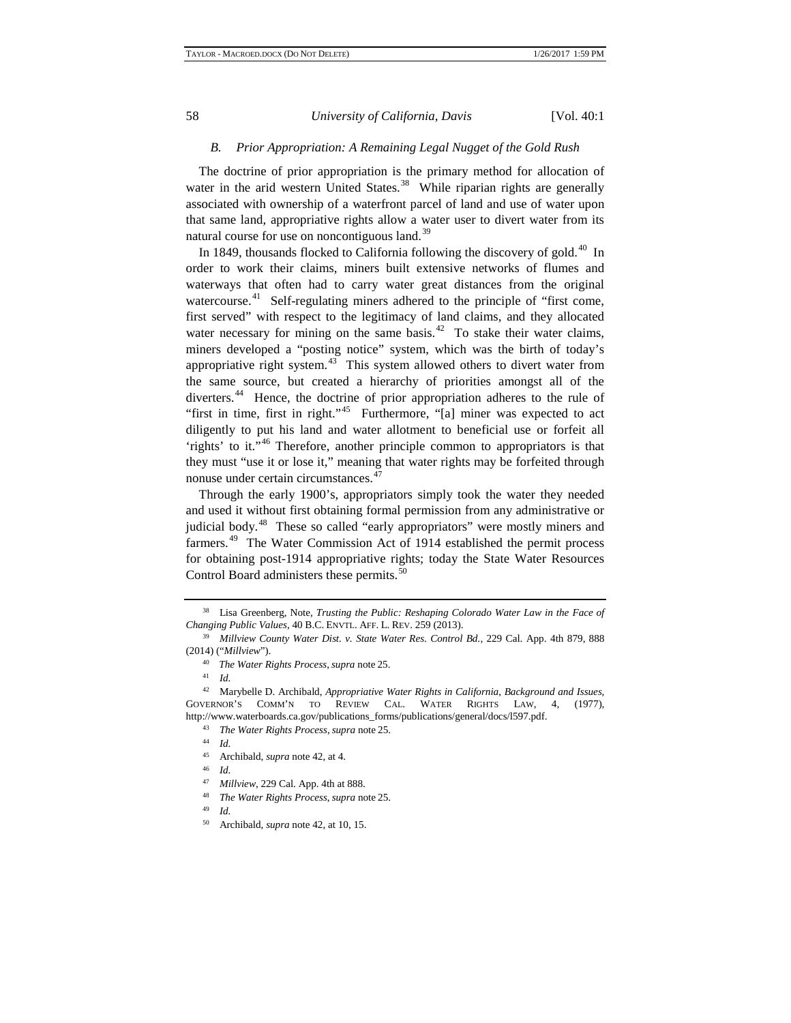# *B. Prior Appropriation: A Remaining Legal Nugget of the Gold Rush*

The doctrine of prior appropriation is the primary method for allocation of water in the arid western United States.<sup>38</sup> While riparian rights are generally associated with ownership of a waterfront parcel of land and use of water upon that same land, appropriative rights allow a water user to divert water from its natural course for use on noncontiguous land.<sup>[39](#page-5-3)</sup>

In 1849, thousands flocked to California following the discovery of gold.<sup>[40](#page-5-4)</sup> In order to work their claims, miners built extensive networks of flumes and waterways that often had to carry water great distances from the original watercourse.<sup>41</sup> Self-regulating miners adhered to the principle of "first come, first served" with respect to the legitimacy of land claims, and they allocated water necessary for mining on the same basis. $42$  To stake their water claims, miners developed a "posting notice" system, which was the birth of today's appropriative right system.<sup>43</sup> This system allowed others to divert water from the same source, but created a hierarchy of priorities amongst all of the diverters.<sup>44</sup> Hence, the doctrine of prior appropriation adheres to the rule of "first in time, first in right."<sup>[45](#page-5-9)</sup> Furthermore, "[a] miner was expected to act diligently to put his land and water allotment to beneficial use or forfeit all 'rights' to it."[46](#page-5-10) Therefore, another principle common to appropriators is that they must "use it or lose it," meaning that water rights may be forfeited through nonuse under certain circumstances.<sup>[47](#page-5-11)</sup>

Through the early 1900's, appropriators simply took the water they needed and used it without first obtaining formal permission from any administrative or judicial body.<sup>48</sup> These so called "early appropriators" were mostly miners and farmers.<sup>[49](#page-6-1)</sup> The Water Commission Act of 1914 established the permit process for obtaining post-1914 appropriative rights; today the State Water Resources Control Board administers these permits.<sup>[50](#page-6-2)</sup>

<span id="page-5-0"></span><sup>38</sup> Lisa Greenberg, Note, *Trusting the Public: Reshaping Colorado Water Law in the Face of Changing Public Values*, 40 B.C. ENVTL. AFF. L. REV. 259 (2013).

<span id="page-5-2"></span><span id="page-5-1"></span><sup>39</sup> *Millview County Water Dist. v. State Water Res. Control Bd.*, 229 Cal. App. 4th 879, 888 (2014) ("*Millview*").

<sup>40</sup> *The Water Rights Process*, *supra* note 25.

<sup>41</sup> *Id.*

<span id="page-5-6"></span><span id="page-5-5"></span><span id="page-5-4"></span><span id="page-5-3"></span><sup>42</sup> Marybelle D. Archibald, *Appropriative Water Rights in California, Background and Issues*, GOVERNOR'S COMM'N TO REVIEW CAL. WATER RIGHTS LAW, 4, (1977), http://www.waterboards.ca.gov/publications\_forms/publications/general/docs/l597.pdf. 43 *The Water Rights Process*, *supra* note 25.

 $\frac{44}{45}$  *Id.* 

Archibald, *supra* note 42, at 4.

<span id="page-5-8"></span><span id="page-5-7"></span> $\frac{46}{47}$  *Id.* 

<sup>47</sup> *Millview*, 229 Cal. App. 4th at 888.

<span id="page-5-10"></span><span id="page-5-9"></span><sup>48</sup> *The Water Rights Process*, *supra* note 25.

<span id="page-5-11"></span><sup>50</sup> Archibald, *supra* note 42, at 10, 15.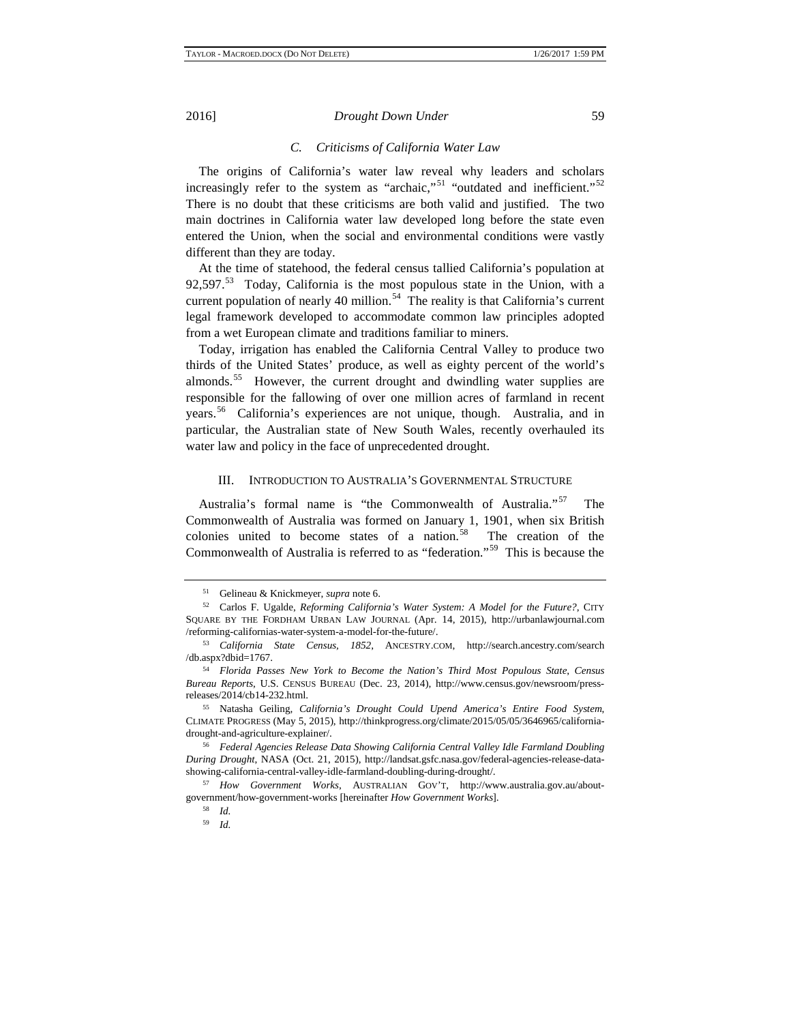# *C. Criticisms of California Water Law*

The origins of California's water law reveal why leaders and scholars increasingly refer to the system as "archaic,"<sup>[51](#page-6-3)</sup> "outdated and inefficient."<sup>[52](#page-6-4)</sup> There is no doubt that these criticisms are both valid and justified. The two main doctrines in California water law developed long before the state even entered the Union, when the social and environmental conditions were vastly different than they are today.

At the time of statehood, the federal census tallied California's population at 92,597. $53$  Today, California is the most populous state in the Union, with a current population of nearly 40 million. $54$  The reality is that California's current legal framework developed to accommodate common law principles adopted from a wet European climate and traditions familiar to miners.

Today, irrigation has enabled the California Central Valley to produce two thirds of the United States' produce, as well as eighty percent of the world's almonds.<sup>[55](#page-6-7)</sup> However, the current drought and dwindling water supplies are responsible for the fallowing of over one million acres of farmland in recent years.[56](#page-6-8) California's experiences are not unique, though. Australia, and in particular, the Australian state of New South Wales, recently overhauled its water law and policy in the face of unprecedented drought.

#### III. INTRODUCTION TO AUSTRALIA'S GOVERNMENTAL STRUCTURE

Australia's formal name is "the Commonwealth of Australia."<sup>[57](#page-7-0)</sup> The Commonwealth of Australia was formed on January 1, 1901, when six British colonies united to become states of a nation. $58$  The creation of the Commonwealth of Australia is referred to as "federation."[59](#page-7-2) This is because the

<span id="page-6-2"></span><span id="page-6-1"></span><span id="page-6-0"></span><sup>51</sup> Gelineau & Knickmeyer, *supra* note 6. 52 Carlos F. Ugalde, *Reforming California's Water System: A Model for the Future?*, CITY SQUARE BY THE FORDHAM URBAN LAW JOURNAL (Apr. 14, 2015), http://urbanlawjournal.com /reforming-californias-water-system-a-model-for-the-future/.

<span id="page-6-3"></span><sup>53</sup> *California State Census, 1852*, ANCESTRY.COM, http://search.ancestry.com/search /db.aspx?dbid=1767.

<span id="page-6-4"></span><sup>54</sup> *Florida Passes New York to Become the Nation's Third Most Populous State*, *Census Bureau Reports*, U.S. CENSUS BUREAU (Dec. 23, 2014), http://www.census.gov/newsroom/pressreleases/2014/cb14-232.html.

<span id="page-6-6"></span><span id="page-6-5"></span><sup>55</sup> Natasha Geiling, *California's Drought Could Upend America's Entire Food System*, CLIMATE PROGRESS (May 5, 2015), http://thinkprogress.org/climate/2015/05/05/3646965/californiadrought-and-agriculture-explainer/. 56 *Federal Agencies Release Data Showing California Central Valley Idle Farmland Doubling* 

<span id="page-6-7"></span>*During Drought*, NASA (Oct. 21, 2015), http://landsat.gsfc.nasa.gov/federal-agencies-release-datashowing-california-central-valley-idle-farmland-doubling-during-drought/.

<span id="page-6-8"></span><sup>57</sup> *How Government Works*, AUSTRALIAN GOV'T, http://www.australia.gov.au/aboutgovernment/how-government-works [hereinafter *How Government Works*].

<sup>58</sup> *Id.*

<sup>59</sup> *Id.*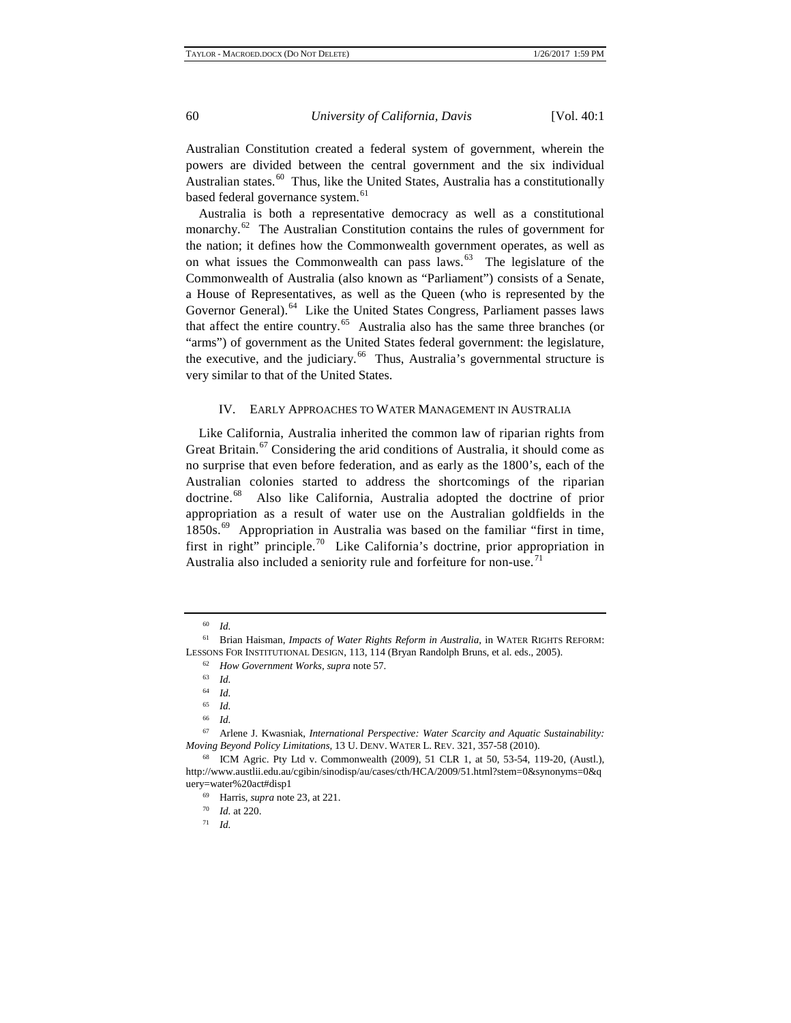Australian Constitution created a federal system of government, wherein the powers are divided between the central government and the six individual Australian states.<sup>[60](#page-7-3)</sup> Thus, like the United States, Australia has a constitutionally based federal governance system.<sup>[61](#page-7-4)</sup>

Australia is both a representative democracy as well as a constitutional monarchy.<sup>[62](#page-7-5)</sup> The Australian Constitution contains the rules of government for the nation; it defines how the Commonwealth government operates, as well as on what issues the Commonwealth can pass laws. $63$  The legislature of the Commonwealth of Australia (also known as "Parliament") consists of a Senate, a House of Representatives, as well as the Queen (who is represented by the Governor General).<sup>[64](#page-7-7)</sup> Like the United States Congress, Parliament passes laws that affect the entire country.<sup>65</sup> Australia also has the same three branches (or "arms") of government as the United States federal government: the legislature, the executive, and the judiciary. $66$  Thus, Australia's governmental structure is very similar to that of the United States.

# IV. EARLY APPROACHES TO WATER MANAGEMENT IN AUSTRALIA

Like California, Australia inherited the common law of riparian rights from Great Britain.<sup>[67](#page-7-10)</sup> Considering the arid conditions of Australia, it should come as no surprise that even before federation, and as early as the 1800's, each of the Australian colonies started to address the shortcomings of the riparian doctrine.[68](#page-7-11) Also like California, Australia adopted the doctrine of prior appropriation as a result of water use on the Australian goldfields in the 1850s.<sup>69</sup> Appropriation in Australia was based on the familiar "first in time, first in right" principle.<sup>[70](#page-8-1)</sup> Like California's doctrine, prior appropriation in Australia also included a seniority rule and forfeiture for non-use.<sup>[71](#page-8-2)</sup>

<sup>60</sup> *Id.*

<span id="page-7-3"></span><span id="page-7-2"></span><span id="page-7-1"></span><span id="page-7-0"></span><sup>61</sup> Brian Haisman, *Impacts of Water Rights Reform in Australia*, in WATER RIGHTS REFORM: LESSONS FOR INSTITUTIONAL DESIGN, 113, 114 (Bryan Randolph Bruns, et al. eds., 2005).

<sup>62</sup> *How Government Works*, *supra* note 57.

<sup>63</sup> *Id.*

 $\frac{64}{65}$  *Id.* 

<sup>65</sup> *Id.*

 $\frac{66}{67}$  *Id.* 

<span id="page-7-6"></span><span id="page-7-5"></span><span id="page-7-4"></span><sup>67</sup> Arlene J. Kwasniak, *International Perspective: Water Scarcity and Aquatic Sustainability: Moving Beyond Policy Limitations*, 13 U. DENV. WATER L. REV. 321, 357-58 (2010).

<span id="page-7-11"></span><span id="page-7-10"></span><span id="page-7-9"></span><span id="page-7-8"></span><span id="page-7-7"></span><sup>68</sup> ICM Agric. Pty Ltd v. Commonwealth (2009), 51 CLR 1, at 50, 53-54, 119-20, (Austl.), http://www.austlii.edu.au/cgibin/sinodisp/au/cases/cth/HCA/2009/51.html?stem=0&synonyms=0&q uery=water%20act#disp1

<sup>69</sup> Harris, *supra* note 23, at 221.

<sup>70</sup> *Id.* at 220.

<sup>71</sup> *Id.*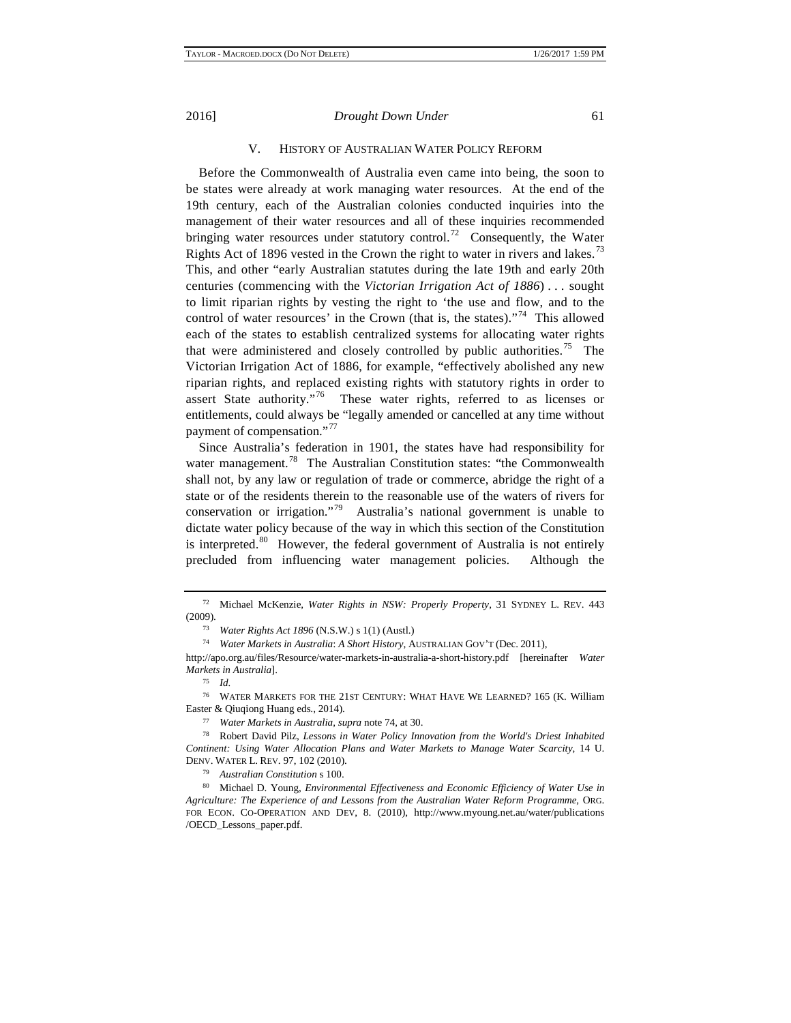# V. HISTORY OF AUSTRALIAN WATER POLICY REFORM

Before the Commonwealth of Australia even came into being, the soon to be states were already at work managing water resources. At the end of the 19th century, each of the Australian colonies conducted inquiries into the management of their water resources and all of these inquiries recommended bringing water resources under statutory control.<sup>[72](#page-8-3)</sup> Consequently, the Water Rights Act of 1896 vested in the Crown the right to water in rivers and lakes.<sup>[73](#page-8-4)</sup> This, and other "early Australian statutes during the late 19th and early 20th centuries (commencing with the *Victorian Irrigation Act of 1886*) . . . sought to limit riparian rights by vesting the right to 'the use and flow, and to the control of water resources' in the Crown (that is, the states). $1^{74}$  This allowed each of the states to establish centralized systems for allocating water rights that were administered and closely controlled by public authorities.<sup>75</sup> The Victorian Irrigation Act of 1886, for example, "effectively abolished any new riparian rights, and replaced existing rights with statutory rights in order to assert State authority."<sup>[76](#page-8-7)</sup> These water rights, referred to as licenses or entitlements, could always be "legally amended or cancelled at any time without payment of compensation."<sup>[77](#page-8-8)</sup>

Since Australia's federation in 1901, the states have had responsibility for water management.<sup>[78](#page-8-9)</sup> The Australian Constitution states: "the Commonwealth shall not, by any law or regulation of trade or commerce, abridge the right of a state or of the residents therein to the reasonable use of the waters of rivers for conservation or irrigation."<sup>[79](#page-9-0)</sup> Australia's national government is unable to dictate water policy because of the way in which this section of the Constitution is interpreted.<sup>[80](#page-9-1)</sup> However, the federal government of Australia is not entirely precluded from influencing water management policies. Although the

<sup>79</sup> *Australian Constitution* s 100.

<span id="page-8-9"></span><span id="page-8-8"></span><span id="page-8-7"></span><sup>80</sup> Michael D. Young, *Environmental Effectiveness and Economic Efficiency of Water Use in Agriculture: The Experience of and Lessons from the Australian Water Reform Programme*, ORG. FOR ECON. CO-OPERATION AND DEV, 8. (2010), http://www.myoung.net.au/water/publications /OECD\_Lessons\_paper.pdf.

<sup>72</sup> Michael McKenzie, *Water Rights in NSW: Properly Property*, 31 SYDNEY L. REV. 443 (2009).

<sup>73</sup> *Water Rights Act 1896* (N.S.W.) s 1(1) (Austl.)

<sup>74</sup> *Water Markets in Australia*: *A Short History*, AUSTRALIAN GOV'T (Dec. 2011),

<span id="page-8-3"></span><span id="page-8-2"></span><span id="page-8-1"></span><span id="page-8-0"></span>http://apo.org.au/files/Resource/water-markets-in-australia-a-short-history.pdf [hereinafter *Water Markets in Australia*].

<sup>75</sup> *Id.*

<span id="page-8-5"></span><span id="page-8-4"></span><sup>76</sup> WATER MARKETS FOR THE 21ST CENTURY: WHAT HAVE WE LEARNED? 165 (K. William Easter & Qiuqiong Huang eds., 2014).

<sup>77</sup> *Water Markets in Australia*, *supra* note 74, at 30.

<span id="page-8-6"></span><sup>78</sup> Robert David Pilz, *Lessons in Water Policy Innovation from the World's Driest Inhabited Continent: Using Water Allocation Plans and Water Markets to Manage Water Scarcity*, 14 U. DENV. WATER L. REV. 97, 102 (2010).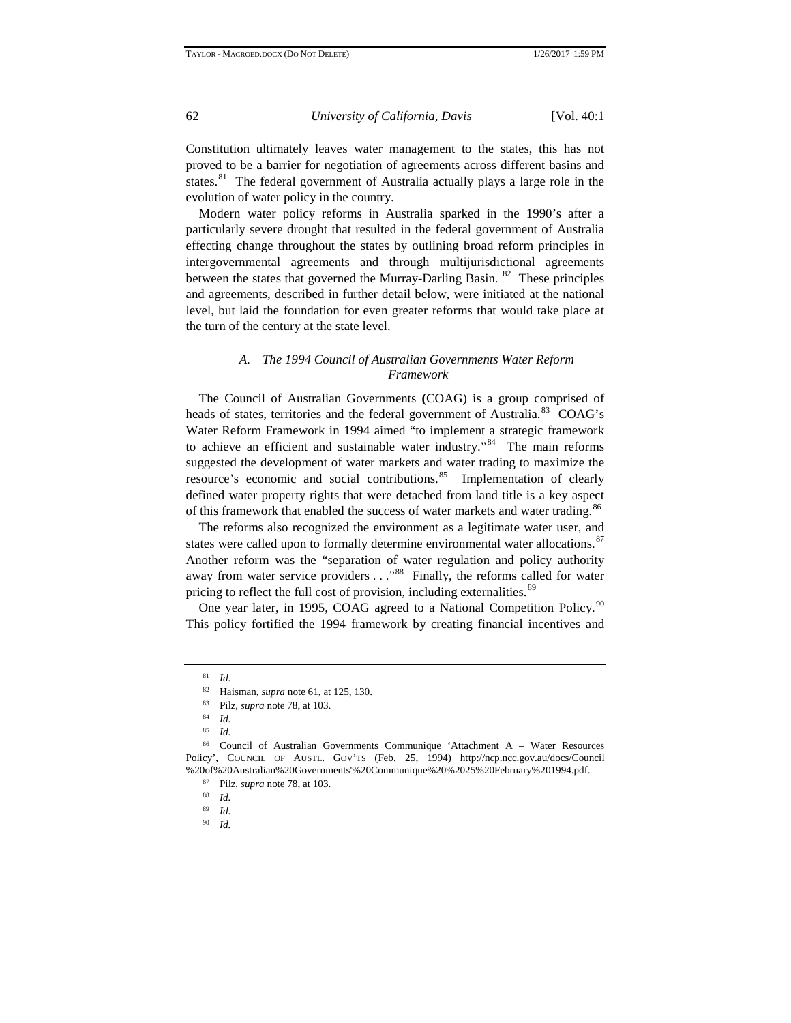Constitution ultimately leaves water management to the states, this has not proved to be a barrier for negotiation of agreements across different basins and states.<sup>81</sup> The federal government of Australia actually plays a large role in the evolution of water policy in the country.

Modern water policy reforms in Australia sparked in the 1990's after a particularly severe drought that resulted in the federal government of Australia effecting change throughout the states by outlining broad reform principles in intergovernmental agreements and through multijurisdictional agreements between the states that governed the Murray-Darling Basin.  $82$  These principles and agreements, described in further detail below, were initiated at the national level, but laid the foundation for even greater reforms that would take place at the turn of the century at the state level.

# *A. The 1994 Council of Australian Governments Water Reform Framework*

The Council of Australian Governments **(**COAG) is a group comprised of heads of states, territories and the federal government of Australia.<sup>83</sup> COAG's Water Reform Framework in 1994 aimed "to implement a strategic framework to achieve an efficient and sustainable water industry."<sup>84</sup> The main reforms suggested the development of water markets and water trading to maximize the resource's economic and social contributions.<sup>85</sup> Implementation of clearly defined water property rights that were detached from land title is a key aspect of this framework that enabled the success of water markets and water trading.<sup>[86](#page-9-7)</sup>

The reforms also recognized the environment as a legitimate water user, and states were called upon to formally determine environmental water allocations.<sup>[87](#page-10-0)</sup> Another reform was the "separation of water regulation and policy authority away from water service providers  $\dots$ <sup>88</sup> Finally, the reforms called for water pricing to reflect the full cost of provision, including externalities.<sup>[89](#page-10-2)</sup>

<span id="page-9-0"></span>One year later, in 1995, COAG agreed to a National Competition Policy.<sup>[90](#page-10-3)</sup> This policy fortified the 1994 framework by creating financial incentives and

<sup>81</sup> *Id.*

<sup>82</sup> Haisman, *supra* note 61, at 125, 130.<br>83 Pilz, *supra* pote 78, at 103

<sup>&</sup>lt;sup>83</sup> Pilz, *supra* note 78, at 103.

 $\frac{84}{85}$  *Id.* 

<sup>85</sup> *Id.*

<span id="page-9-7"></span><span id="page-9-6"></span><span id="page-9-5"></span><span id="page-9-4"></span><span id="page-9-3"></span><span id="page-9-2"></span><span id="page-9-1"></span><sup>86</sup> Council of Australian Governments Communique 'Attachment A – Water Resources Policy', COUNCIL OF AUSTL. GOV'TS (Feb. 25, 1994) http://ncp.ncc.gov.au/docs/Council %20of%20Australian%20Governments'%20Communique%20%2025%20February%201994.pdf.<br><sup>87</sup> Pilz, *supra* note 78, at 103.<br><sup>88</sup> *Id.* 89 *M* 

<sup>89</sup> *Id.*

<sup>90</sup> *Id.*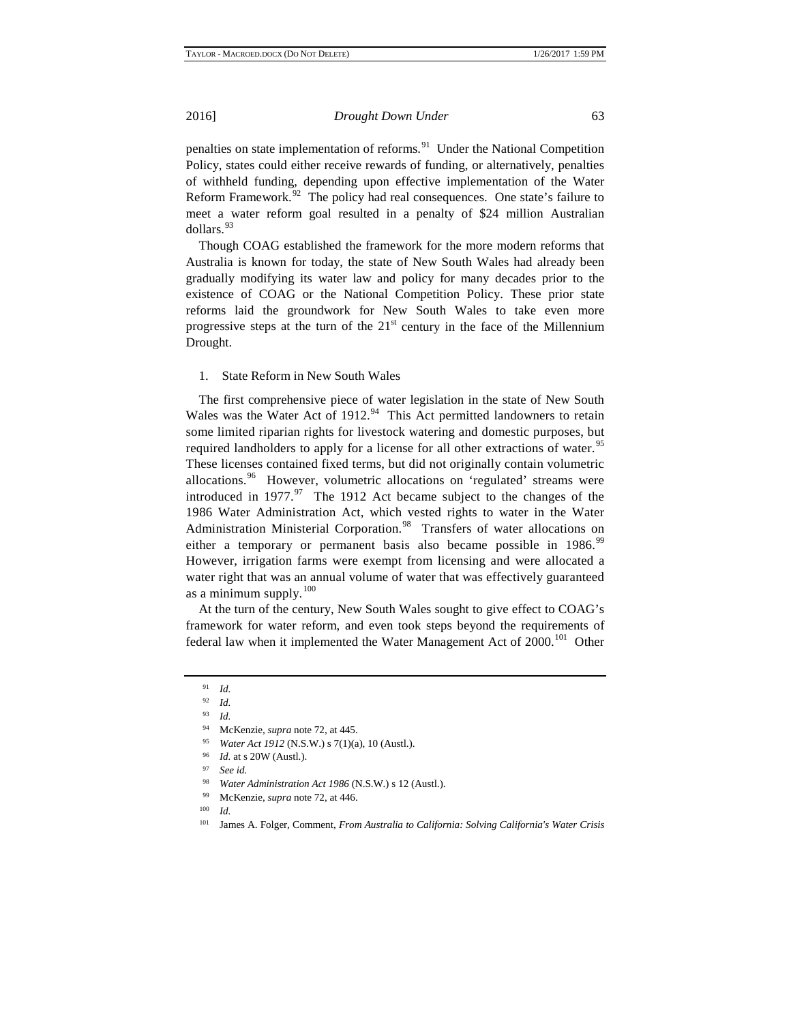penalties on state implementation of reforms. $91$  Under the National Competition Policy, states could either receive rewards of funding, or alternatively, penalties of withheld funding, depending upon effective implementation of the Water Reform Framework. $92$  The policy had real consequences. One state's failure to meet a water reform goal resulted in a penalty of \$24 million Australian dollars.<sup>[93](#page-10-6)</sup>

Though COAG established the framework for the more modern reforms that Australia is known for today, the state of New South Wales had already been gradually modifying its water law and policy for many decades prior to the existence of COAG or the National Competition Policy. These prior state reforms laid the groundwork for New South Wales to take even more progressive steps at the turn of the  $21<sup>st</sup>$  century in the face of the Millennium Drought.

# 1. State Reform in New South Wales

The first comprehensive piece of water legislation in the state of New South Wales was the Water Act of 1912.<sup>94</sup> This Act permitted landowners to retain some limited riparian rights for livestock watering and domestic purposes, but required landholders to apply for a license for all other extractions of water.<sup>[95](#page-10-8)</sup> These licenses contained fixed terms, but did not originally contain volumetric allocations.<sup>[96](#page-10-9)</sup> However, volumetric allocations on 'regulated' streams were introduced in  $1977.^{97}$  $1977.^{97}$  $1977.^{97}$  The 1912 Act became subject to the changes of the 1986 Water Administration Act, which vested rights to water in the Water Administration Ministerial Corporation.<sup>[98](#page-11-0)</sup> Transfers of water allocations on either a temporary or permanent basis also became possible in 1986.<sup>[99](#page-11-1)</sup> However, irrigation farms were exempt from licensing and were allocated a water right that was an annual volume of water that was effectively guaranteed as a minimum supply. $100$ 

<span id="page-10-2"></span><span id="page-10-1"></span><span id="page-10-0"></span>At the turn of the century, New South Wales sought to give effect to COAG's framework for water reform, and even took steps beyond the requirements of federal law when it implemented the Water Management Act of 2000.<sup>[101](#page-11-3)</sup> Other

<span id="page-10-3"></span> $\frac{91}{92}$  *Id.* 

<sup>92</sup> *Id.*

<span id="page-10-5"></span><span id="page-10-4"></span><sup>93</sup> *Id.*

<sup>94</sup> McKenzie, *supra* note 72, at 445.

<sup>95</sup> *Water Act 1912* (N.S.W.) s 7(1)(a), 10 (Austl.).

<sup>96</sup> *Id.* at s 20W (Austl.).

<span id="page-10-6"></span><sup>97</sup> *See id.*

<sup>98</sup> *Water Administration Act 1986* (N.S.W.) s 12 (Austl.).

<span id="page-10-9"></span><span id="page-10-8"></span><span id="page-10-7"></span><sup>&</sup>lt;sup>99</sup> McKenzie, *supra* note 72, at 446.

<span id="page-10-10"></span><sup>101</sup> James A. Folger, Comment, *From Australia to California: Solving California's Water Crisis*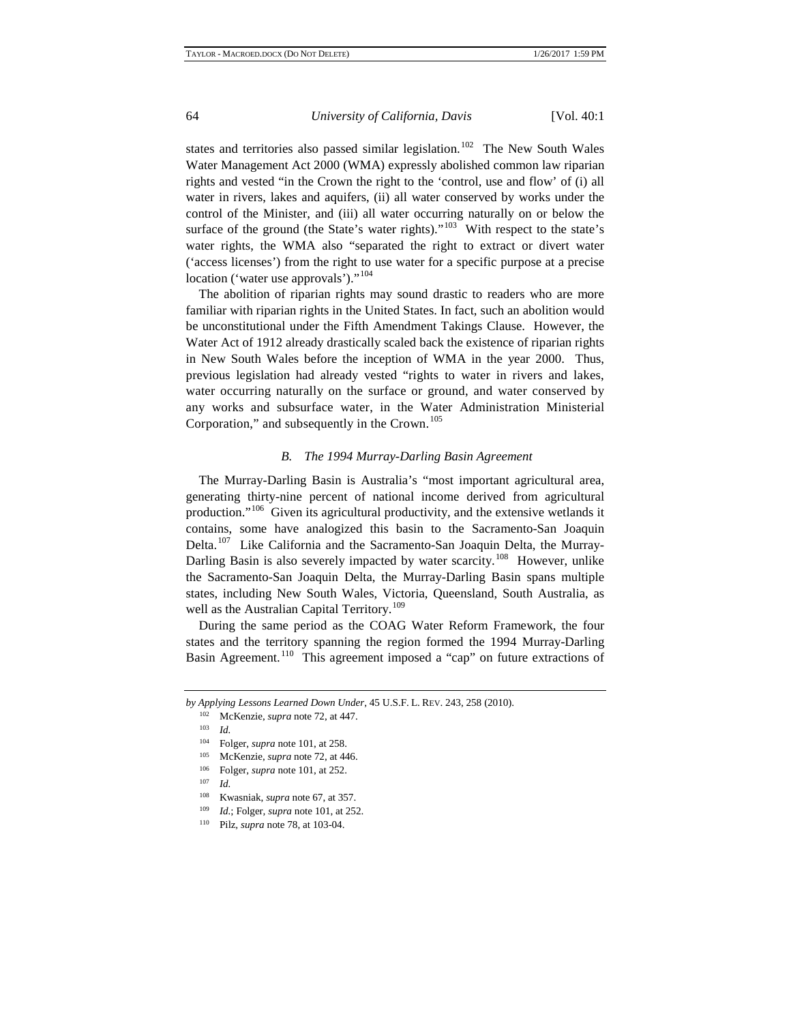states and territories also passed similar legislation.<sup>102</sup> The New South Wales Water Management Act 2000 (WMA) expressly abolished common law riparian rights and vested "in the Crown the right to the 'control, use and flow' of (i) all water in rivers, lakes and aquifers, (ii) all water conserved by works under the control of the Minister, and (iii) all water occurring naturally on or below the surface of the ground (the State's water rights)."<sup>103</sup> With respect to the state's water rights, the WMA also "separated the right to extract or divert water ('access licenses') from the right to use water for a specific purpose at a precise location ('water use approvals')."<sup>[104](#page-11-6)</sup>

The abolition of riparian rights may sound drastic to readers who are more familiar with riparian rights in the United States. In fact, such an abolition would be unconstitutional under the Fifth Amendment Takings Clause. However, the Water Act of 1912 already drastically scaled back the existence of riparian rights in New South Wales before the inception of WMA in the year 2000. Thus, previous legislation had already vested "rights to water in rivers and lakes, water occurring naturally on the surface or ground, and water conserved by any works and subsurface water, in the Water Administration Ministerial Corporation," and subsequently in the Crown.<sup>[105](#page-11-7)</sup>

# *B. The 1994 Murray-Darling Basin Agreement*

The Murray-Darling Basin is Australia's "most important agricultural area, generating thirty-nine percent of national income derived from agricultural production."[106](#page-11-8) Given its agricultural productivity, and the extensive wetlands it contains, some have analogized this basin to the Sacramento-San Joaquin Delta.<sup>[107](#page-12-0)</sup> Like California and the Sacramento-San Joaquin Delta, the Murray-Darling Basin is also severely impacted by water scarcity.<sup>108</sup> However, unlike the Sacramento-San Joaquin Delta, the Murray-Darling Basin spans multiple states, including New South Wales, Victoria, Queensland, South Australia, as well as the Australian Capital Territory.<sup>[109](#page-12-2)</sup>

During the same period as the COAG Water Reform Framework, the four states and the territory spanning the region formed the 1994 Murray-Darling Basin Agreement.<sup>[110](#page-12-3)</sup> This agreement imposed a "cap" on future extractions of

<span id="page-11-4"></span><span id="page-11-3"></span><span id="page-11-2"></span><span id="page-11-1"></span><span id="page-11-0"></span>*by Applying Lessons Learned Down Under*, 45 U.S.F. L. REV. 243, 258 (2010). 102 McKenzie, *supra* note 72, at 447.

<sup>103</sup> *Id.*

<sup>104</sup> Folger, *supra* note 101, at 258.

<sup>105</sup> McKenzie, *supra* note 72, at 446.

<sup>&</sup>lt;sup>106</sup> Folger, *supra* note 101, at 252.

<span id="page-11-6"></span><span id="page-11-5"></span>*Id.* 

<span id="page-11-7"></span><sup>108</sup> Kwasniak, *supra* note 67, at 357.

<sup>109</sup> *Id.*; Folger*, supra* note 101, at 252.

<span id="page-11-8"></span><sup>110</sup> Pilz*, supra* note 78, at 103-04.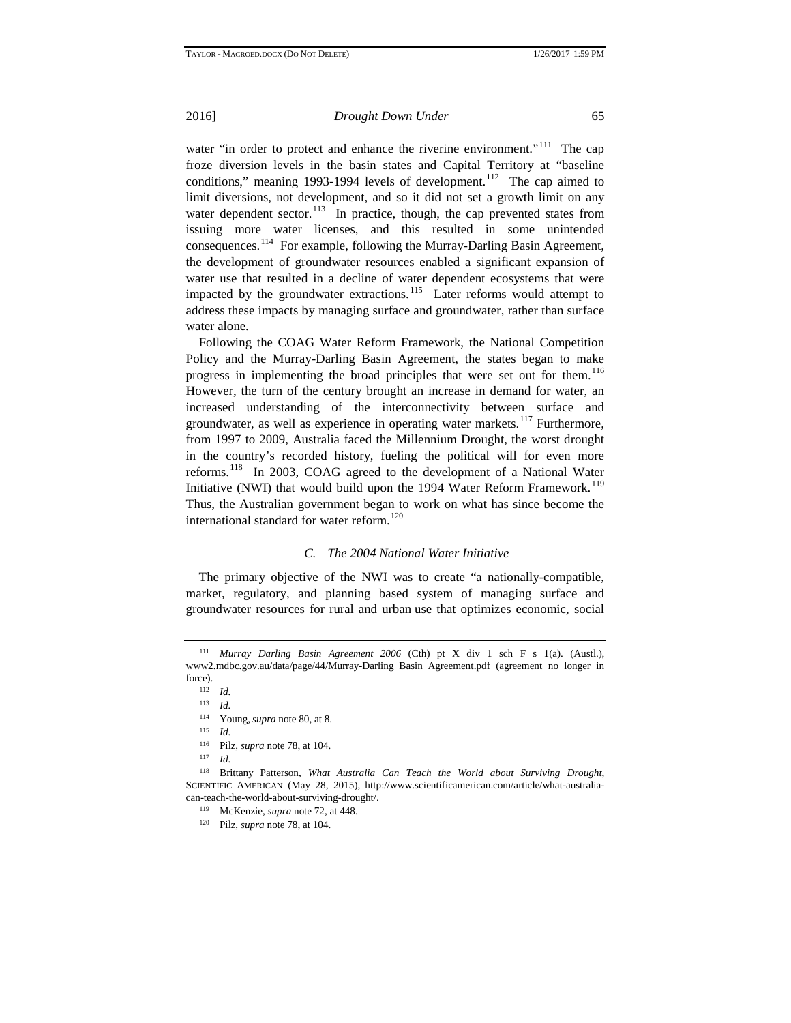water "in order to protect and enhance the riverine environment."<sup>[111](#page-12-4)</sup> The cap froze diversion levels in the basin states and Capital Territory at "baseline conditions," meaning 1993-1994 levels of development.<sup>[112](#page-12-5)</sup> The cap aimed to limit diversions, not development, and so it did not set a growth limit on any water dependent sector.<sup>[113](#page-12-6)</sup> In practice, though, the cap prevented states from issuing more water licenses, and this resulted in some unintended consequences.[114](#page-12-7) For example, following the Murray-Darling Basin Agreement, the development of groundwater resources enabled a significant expansion of water use that resulted in a decline of water dependent ecosystems that were impacted by the groundwater extractions.<sup>[115](#page-12-8)</sup> Later reforms would attempt to address these impacts by managing surface and groundwater, rather than surface water alone.

Following the COAG Water Reform Framework, the National Competition Policy and the Murray-Darling Basin Agreement, the states began to make progress in implementing the broad principles that were set out for them.<sup>[116](#page-12-9)</sup> However, the turn of the century brought an increase in demand for water, an increased understanding of the interconnectivity between surface and groundwater, as well as experience in operating water markets.<sup>[117](#page-12-10)</sup> Furthermore, from 1997 to 2009, Australia faced the Millennium Drought, the worst drought in the country's recorded history, fueling the political will for even more reforms.[118](#page-13-0) In 2003, COAG agreed to the development of a National Water Initiative (NWI) that would build upon the 1994 Water Reform Framework.<sup>[119](#page-13-1)</sup> Thus, the Australian government began to work on what has since become the international standard for water reform.<sup>[120](#page-13-2)</sup>

# *C. The 2004 National Water Initiative*

The primary objective of the NWI was to create "a nationally-compatible, market, regulatory, and planning based system of managing surface and groundwater resources for rural and urban use that optimizes economic, social

 $\frac{112}{113}$  *Id. Id.* 

<sup>114</sup> Young, *supra* note 80, at 8.<br><sup>115</sup> *Id* 

 $\frac{115}{116}$  *Id.* 

- <sup>116</sup> Pilz, *supra* note 78, at 104.
- *Id.*

<span id="page-12-4"></span><span id="page-12-3"></span><span id="page-12-2"></span><span id="page-12-1"></span><span id="page-12-0"></span><sup>111</sup> *Murray Darling Basin Agreement 2006* (Cth) pt X div 1 sch F s 1(a). (Austl.), www2.mdbc.gov.au/data/page/44/Murray-Darling\_Basin\_Agreement.pdf (agreement no longer in force).

<span id="page-12-10"></span><span id="page-12-9"></span><span id="page-12-8"></span><span id="page-12-7"></span><span id="page-12-6"></span><span id="page-12-5"></span><sup>118</sup> Brittany Patterson, *What Australia Can Teach the World about Surviving Drought*, SCIENTIFIC AMERICAN (May 28, 2015), http://www.scientificamerican.com/article/what-australiacan-teach-the-world-about-surviving-drought/.

<sup>119</sup> McKenzie, *supra* note 72, at 448.

<sup>120</sup> Pilz, *supra* note 78, at 104.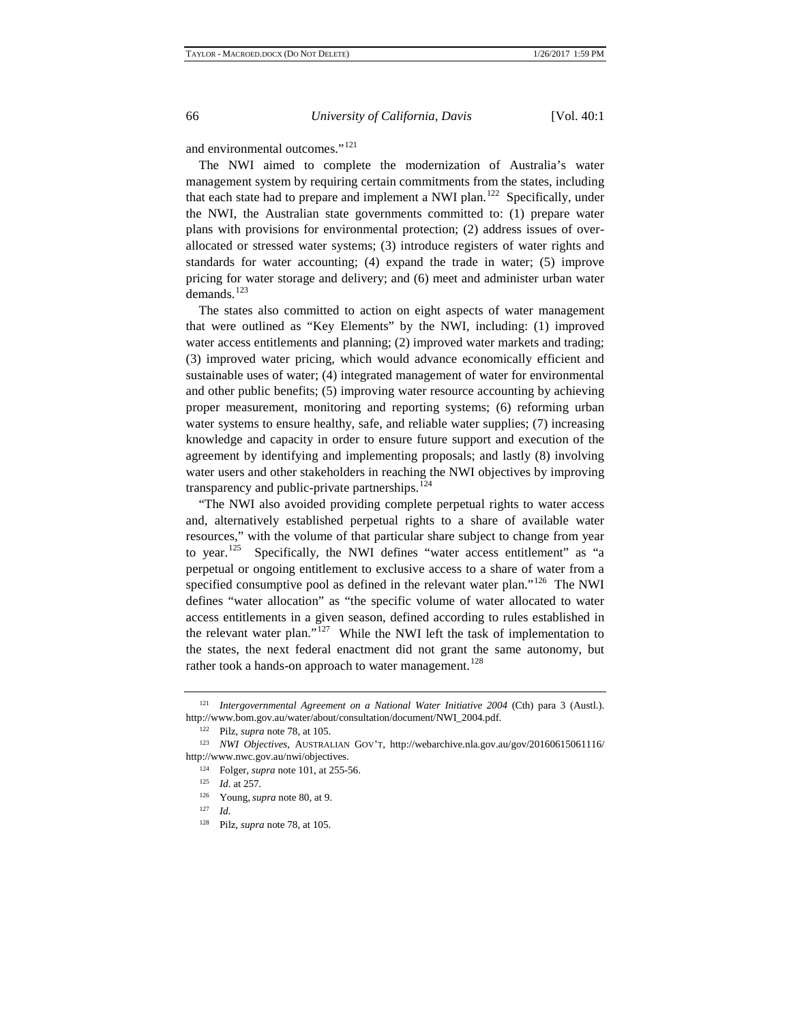and environmental outcomes."<sup>[121](#page-13-3)</sup>

The NWI aimed to complete the modernization of Australia's water management system by requiring certain commitments from the states, including that each state had to prepare and implement a NWI plan.<sup>122</sup> Specifically, under the NWI, the Australian state governments committed to: (1) prepare water plans with provisions for environmental protection; (2) address issues of overallocated or stressed water systems; (3) introduce registers of water rights and standards for water accounting; (4) expand the trade in water; (5) improve pricing for water storage and delivery; and (6) meet and administer urban water demands.<sup>[123](#page-13-5)</sup>

The states also committed to action on eight aspects of water management that were outlined as "Key Elements" by the NWI, including: (1) improved water access entitlements and planning; (2) improved water markets and trading; (3) improved water pricing, which would advance economically efficient and sustainable uses of water; (4) integrated management of water for environmental and other public benefits; (5) improving water resource accounting by achieving proper measurement, monitoring and reporting systems; (6) reforming urban water systems to ensure healthy, safe, and reliable water supplies; (7) increasing knowledge and capacity in order to ensure future support and execution of the agreement by identifying and implementing proposals; and lastly (8) involving water users and other stakeholders in reaching the NWI objectives by improving transparency and public-private partnerships.<sup>[124](#page-13-6)</sup>

"The NWI also avoided providing complete perpetual rights to water access and, alternatively established perpetual rights to a share of available water resources," with the volume of that particular share subject to change from year to year.<sup>125</sup> Specifically, the NWI defines "water access entitlement" as "a perpetual or ongoing entitlement to exclusive access to a share of water from a specified consumptive pool as defined in the relevant water plan."<sup>[126](#page-14-1)</sup> The NWI defines "water allocation" as "the specific volume of water allocated to water access entitlements in a given season, defined according to rules established in the relevant water plan."<sup>127</sup> While the NWI left the task of implementation to the states, the next federal enactment did not grant the same autonomy, but rather took a hands-on approach to water management.<sup>[128](#page-14-3)</sup>

<span id="page-13-0"></span><sup>121</sup> *Intergovernmental Agreement on a National Water Initiative 2004* (Cth) para 3 (Austl.). http://www.bom.gov.au/water/about/consultation/document/NWI\_2004.pdf.

<sup>122</sup> Pilz, *supra* note 78, at 105.

<span id="page-13-5"></span><span id="page-13-4"></span><span id="page-13-3"></span><span id="page-13-2"></span><span id="page-13-1"></span><sup>123</sup> *NWI Objectives*, AUSTRALIAN GOV'T, http://webarchive.nla.gov.au/gov/20160615061116/ http://www.nwc.gov.au/nwi/objectives.

<sup>124</sup> Folger, *supra* note 101, at 255-56.

<sup>125</sup> *Id*. at 257*.*

<sup>&</sup>lt;sup>126</sup> Young, *supra* note 80, at 9.<br><sup>127</sup> *Id* 

*Id.* 

<span id="page-13-6"></span><sup>128</sup> Pilz, *supra* note 78, at 105.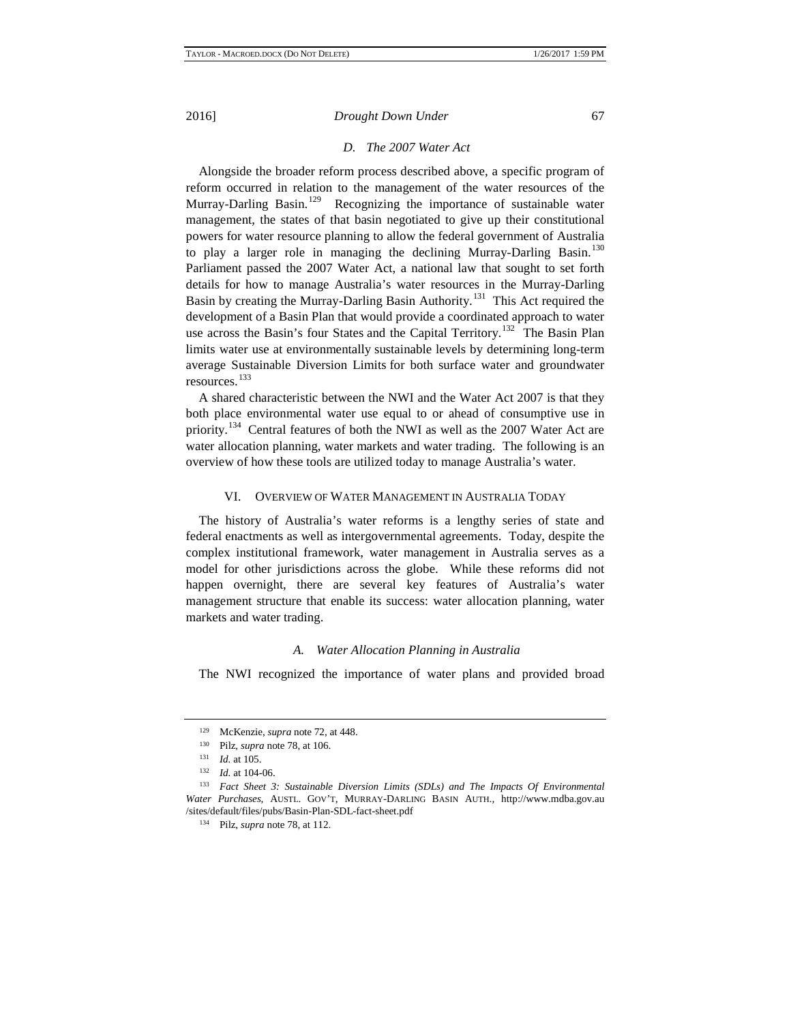# *D. The 2007 Water Act*

Alongside the broader reform process described above, a specific program of reform occurred in relation to the management of the water resources of the Murray-Darling Basin.<sup>129</sup> Recognizing the importance of sustainable water management, the states of that basin negotiated to give up their constitutional powers for water resource planning to allow the federal government of Australia to play a larger role in managing the declining Murray-Darling Basin.<sup>[130](#page-14-5)</sup> Parliament passed the 2007 Water Act, a national law that sought to set forth details for how to manage Australia's water resources in the Murray-Darling Basin by creating the Murray-Darling Basin Authority.[131](#page-14-6) This Act required the development of a Basin Plan that would provide a coordinated approach to water use across the Basin's four States and the Capital Territory.<sup>132</sup> The Basin Plan limits water use at environmentally sustainable levels by determining long-term average Sustainable Diversion Limits for both surface water and groundwater resources.[133](#page-14-8)

A shared characteristic between the NWI and the Water Act 2007 is that they both place environmental water use equal to or ahead of consumptive use in priority.<sup>[134](#page-14-9)</sup> Central features of both the NWI as well as the 2007 Water Act are water allocation planning, water markets and water trading. The following is an overview of how these tools are utilized today to manage Australia's water.

# VI. OVERVIEW OF WATER MANAGEMENT IN AUSTRALIA TODAY

The history of Australia's water reforms is a lengthy series of state and federal enactments as well as intergovernmental agreements. Today, despite the complex institutional framework, water management in Australia serves as a model for other jurisdictions across the globe. While these reforms did not happen overnight, there are several key features of Australia's water management structure that enable its success: water allocation planning, water markets and water trading.

# *A. Water Allocation Planning in Australia*

<span id="page-14-1"></span><span id="page-14-0"></span>The NWI recognized the importance of water plans and provided broad

<span id="page-14-2"></span><sup>&</sup>lt;sup>129</sup> McKenzie, *supra* note 72, at 448.

<sup>&</sup>lt;sup>130</sup> Pilz, *supra* note 78, at 106.

 $\frac{131}{132}$  *Id.* at 105.

*Id.* at 104-06.

<span id="page-14-9"></span><span id="page-14-8"></span><span id="page-14-7"></span><span id="page-14-6"></span><span id="page-14-5"></span><span id="page-14-4"></span><span id="page-14-3"></span><sup>133</sup> *Fact Sheet 3: Sustainable Diversion Limits (SDLs) and The Impacts Of Environmental Water Purchases,* AUSTL. GOV'T, MURRAY-DARLING BASIN AUTH.*,* http://www.mdba.gov.au /sites/default/files/pubs/Basin-Plan-SDL-fact-sheet.pdf

<sup>134</sup> Pilz, *supra* note 78, at 112.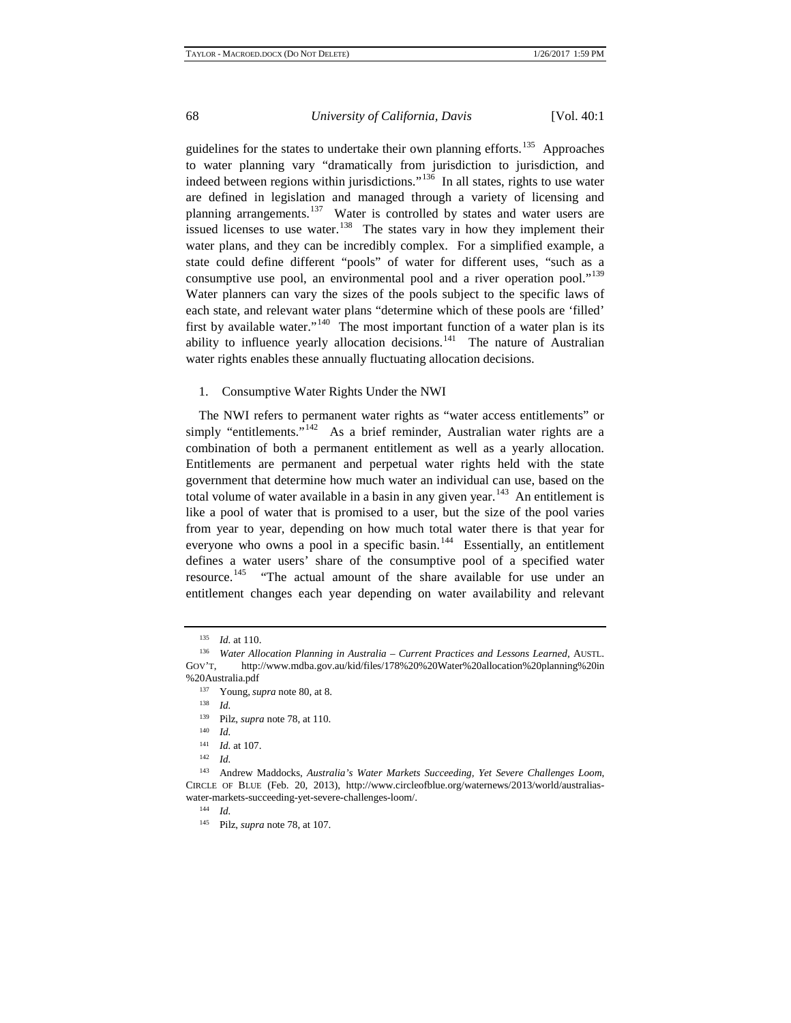guidelines for the states to undertake their own planning efforts.<sup>[135](#page-15-0)</sup> Approaches to water planning vary "dramatically from jurisdiction to jurisdiction, and indeed between regions within jurisdictions."[136](#page-15-1) In all states, rights to use water are defined in legislation and managed through a variety of licensing and planning arrangements.<sup>[137](#page-15-2)</sup> Water is controlled by states and water users are issued licenses to use water.<sup>138</sup> The states vary in how they implement their water plans, and they can be incredibly complex. For a simplified example, a state could define different "pools" of water for different uses, "such as a consumptive use pool, an environmental pool and a river operation pool."<sup>[139](#page-15-4)</sup> Water planners can vary the sizes of the pools subject to the specific laws of each state, and relevant water plans "determine which of these pools are 'filled' first by available water."<sup>140</sup> The most important function of a water plan is its ability to influence yearly allocation decisions.<sup>[141](#page-15-6)</sup> The nature of Australian water rights enables these annually fluctuating allocation decisions.

# 1. Consumptive Water Rights Under the NWI

The NWI refers to permanent water rights as "water access entitlements" or simply "entitlements."<sup>[142](#page-15-7)</sup> As a brief reminder, Australian water rights are a combination of both a permanent entitlement as well as a yearly allocation. Entitlements are permanent and perpetual water rights held with the state government that determine how much water an individual can use, based on the total volume of water available in a basin in any given year.<sup>143</sup> An entitlement is like a pool of water that is promised to a user, but the size of the pool varies from year to year, depending on how much total water there is that year for everyone who owns a pool in a specific basin.<sup>[144](#page-16-1)</sup> Essentially, an entitlement defines a water users' share of the consumptive pool of a specified water resource.<sup>145</sup> "The actual amount of the share available for use under an entitlement changes each year depending on water availability and relevant

<sup>135</sup> *Id.* at 110.

<span id="page-15-0"></span><sup>136</sup> *Water Allocation Planning in Australia – Current Practices and Lessons Learned*, AUSTL. GOV'T, http://www.mdba.gov.au/kid/files/178%20%20Water%20allocation%20planning%20in %20Australia.pdf

<sup>&</sup>lt;sup>137</sup> Young, *supra* note 80, at 8.<br><sup>138</sup> *Id* 

<sup>&</sup>lt;sup>139</sup> Pilz, *supra* note 78, at 110.

 $\frac{140}{141}$  *Id.* 

 $\frac{141}{142}$  *Id.* at 107.

<sup>142</sup> *Id.*

<span id="page-15-7"></span><span id="page-15-6"></span><span id="page-15-5"></span><span id="page-15-4"></span><span id="page-15-3"></span><span id="page-15-2"></span><span id="page-15-1"></span><sup>143</sup> Andrew Maddocks, *Australia's Water Markets Succeeding, Yet Severe Challenges Loom*, CIRCLE OF BLUE (Feb. 20, 2013), http://www.circleofblue.org/waternews/2013/world/australiaswater-markets-succeeding-yet-severe-challenges-loom/.

<sup>144</sup> *Id.*

<sup>145</sup> Pilz, *supra* note 78, at 107.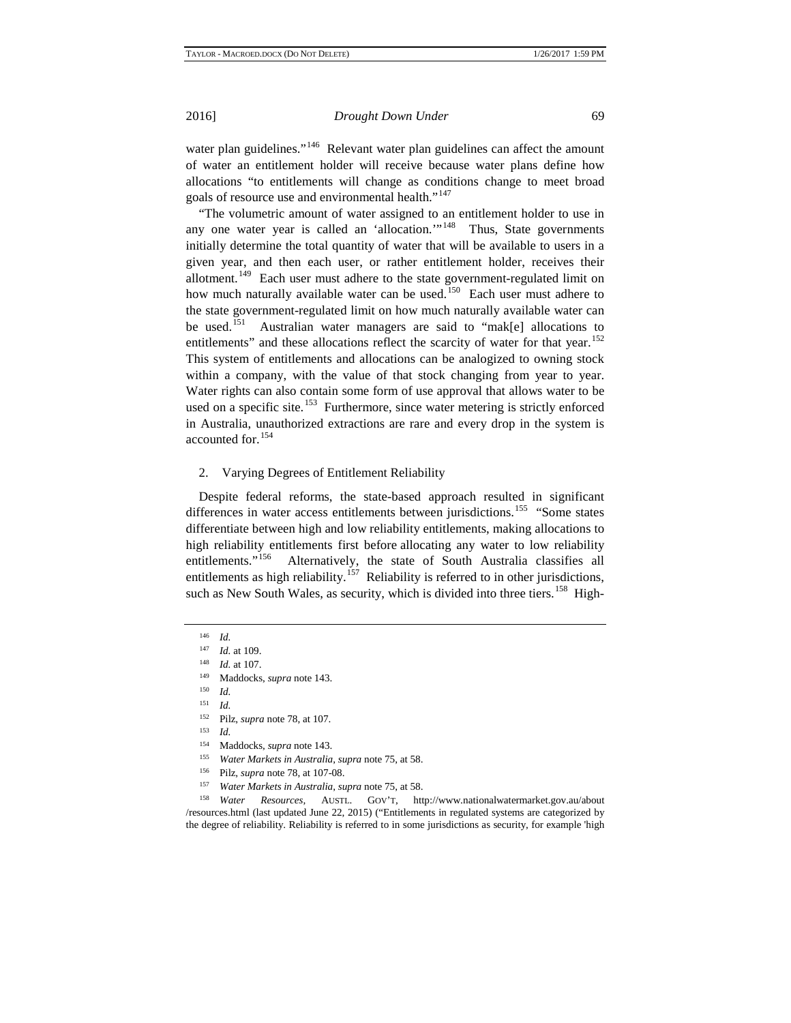water plan guidelines."<sup>[146](#page-16-3)</sup> Relevant water plan guidelines can affect the amount of water an entitlement holder will receive because water plans define how allocations "to entitlements will change as conditions change to meet broad goals of resource use and environmental health."<sup>[147](#page-16-4)</sup>

"The volumetric amount of water assigned to an entitlement holder to use in any one water year is called an 'allocation."<sup>148</sup> Thus, State governments initially determine the total quantity of water that will be available to users in a given year, and then each user, or rather entitlement holder, receives their allotment.<sup>149</sup> Each user must adhere to the state government-regulated limit on how much naturally available water can be used.<sup>[150](#page-16-7)</sup> Each user must adhere to the state government-regulated limit on how much naturally available water can be used.<sup>[151](#page-16-8)</sup> Australian water managers are said to "mak[e] allocations to entitlements" and these allocations reflect the scarcity of water for that year.<sup>[152](#page-16-9)</sup> This system of entitlements and allocations can be analogized to owning stock within a company, with the value of that stock changing from year to year. Water rights can also contain some form of use approval that allows water to be used on a specific site.<sup>153</sup> Furthermore, since water metering is strictly enforced in Australia, unauthorized extractions are rare and every drop in the system is accounted for.[154](#page-16-11)

### 2. Varying Degrees of Entitlement Reliability

Despite federal reforms, the state-based approach resulted in significant differences in water access entitlements between jurisdictions.<sup>[155](#page-17-0)</sup> "Some states differentiate between high and low reliability entitlements, making allocations to high reliability entitlements first before allocating any water to low reliability entitlements."<sup>[156](#page-17-1)</sup> Alternatively, the state of South Australia classifies all entitlements as high reliability.<sup>[157](#page-17-2)</sup> Reliability is referred to in other jurisdictions, such as New South Wales, as security, which is divided into three tiers.<sup>158</sup> High-

<span id="page-16-0"></span> $\frac{146}{147}$  *Id.* 

*Id.* at 109.

<sup>148</sup> *Id.* at 107.

<sup>149</sup> Maddocks, *supra* note 143.

<span id="page-16-2"></span><span id="page-16-1"></span> $\frac{150}{151}$  *Id.* 

<span id="page-16-3"></span><sup>&</sup>lt;sup>152</sup> Pilz, *supra* note 78, at 107.

*Id.* 

<sup>&</sup>lt;sup>154</sup> Maddocks, *supra* note 143.

<sup>155</sup> *Water Markets in Australia*, *supra* note 75, at 58.

<sup>156</sup> Pilz, *supra* note 78, at 107-08.

<sup>157</sup> *Water Markets in Australia*, *supra* note 75, at 58.

<span id="page-16-11"></span><span id="page-16-10"></span><span id="page-16-9"></span><span id="page-16-8"></span><span id="page-16-7"></span><span id="page-16-6"></span><span id="page-16-5"></span><span id="page-16-4"></span><sup>158</sup> *Water Resources,* AUSTL. GOV'T, http://www.nationalwatermarket.gov.au/about /resources.html (last updated June 22, 2015) ("Entitlements in regulated systems are categorized by the degree of reliability. Reliability is referred to in some jurisdictions as security, for example 'high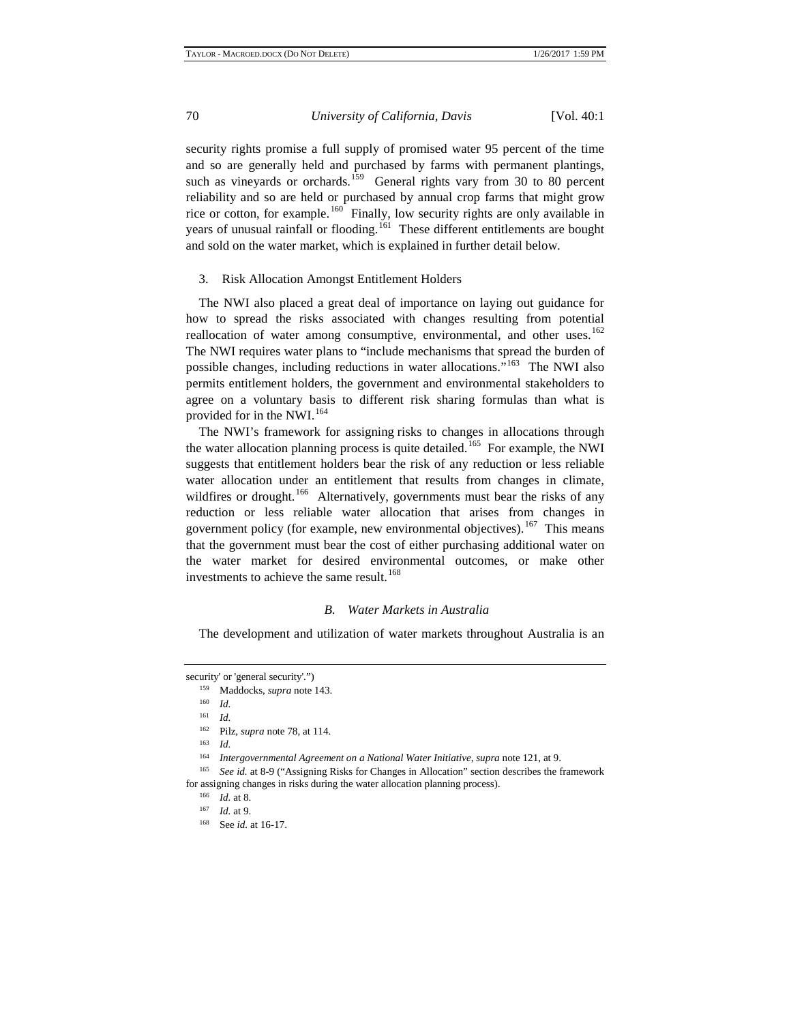security rights promise a full supply of promised water 95 percent of the time and so are generally held and purchased by farms with permanent plantings, such as vineyards or orchards.<sup>159</sup> General rights vary from 30 to 80 percent reliability and so are held or purchased by annual crop farms that might grow rice or cotton, for example.<sup>160</sup> Finally, low security rights are only available in years of unusual rainfall or flooding.<sup>[161](#page-17-6)</sup> These different entitlements are bought and sold on the water market, which is explained in further detail below.

#### 3. Risk Allocation Amongst Entitlement Holders

The NWI also placed a great deal of importance on laying out guidance for how to spread the risks associated with changes resulting from potential reallocation of water among consumptive, environmental, and other uses.<sup>[162](#page-17-7)</sup> The NWI requires water plans to "include mechanisms that spread the burden of possible changes, including reductions in water allocations."<sup>[163](#page-17-8)</sup> The NWI also permits entitlement holders, the government and environmental stakeholders to agree on a voluntary basis to different risk sharing formulas than what is provided for in the NWI.<sup>[164](#page-17-9)</sup>

The NWI's framework for assigning risks to changes in allocations through the water allocation planning process is quite detailed.<sup>[165](#page-17-10)</sup> For example, the NWI suggests that entitlement holders bear the risk of any reduction or less reliable water allocation under an entitlement that results from changes in climate, wildfires or drought.<sup>166</sup> Alternatively, governments must bear the risks of any reduction or less reliable water allocation that arises from changes in government policy (for example, new environmental objectives).<sup>[167](#page-18-1)</sup> This means that the government must bear the cost of either purchasing additional water on the water market for desired environmental outcomes, or make other investments to achieve the same result.<sup>[168](#page-18-2)</sup>

# *B. Water Markets in Australia*

The development and utilization of water markets throughout Australia is an

<span id="page-17-3"></span><span id="page-17-2"></span><span id="page-17-1"></span><span id="page-17-0"></span>security' or 'general security'.")

<sup>159</sup> Maddocks, *supra* note 143.

<sup>160</sup> *Id.*

<sup>161</sup> *Id.*

<sup>162</sup> Pilz, *supra* note 78, at 114.

<sup>163</sup> *Id.*

<sup>164</sup> *Intergovernmental Agreement on a National Water Initiative*, *supra* note 121, at 9.

<span id="page-17-10"></span><span id="page-17-9"></span><span id="page-17-8"></span><span id="page-17-7"></span><span id="page-17-6"></span><span id="page-17-5"></span><span id="page-17-4"></span><sup>165</sup> *See id.* at 8-9 ("Assigning Risks for Changes in Allocation" section describes the framework for assigning changes in risks during the water allocation planning process).

<sup>166</sup> *Id.* at 8.

<sup>167</sup> *Id.* at 9.

<sup>168</sup> See *id.* at 16-17.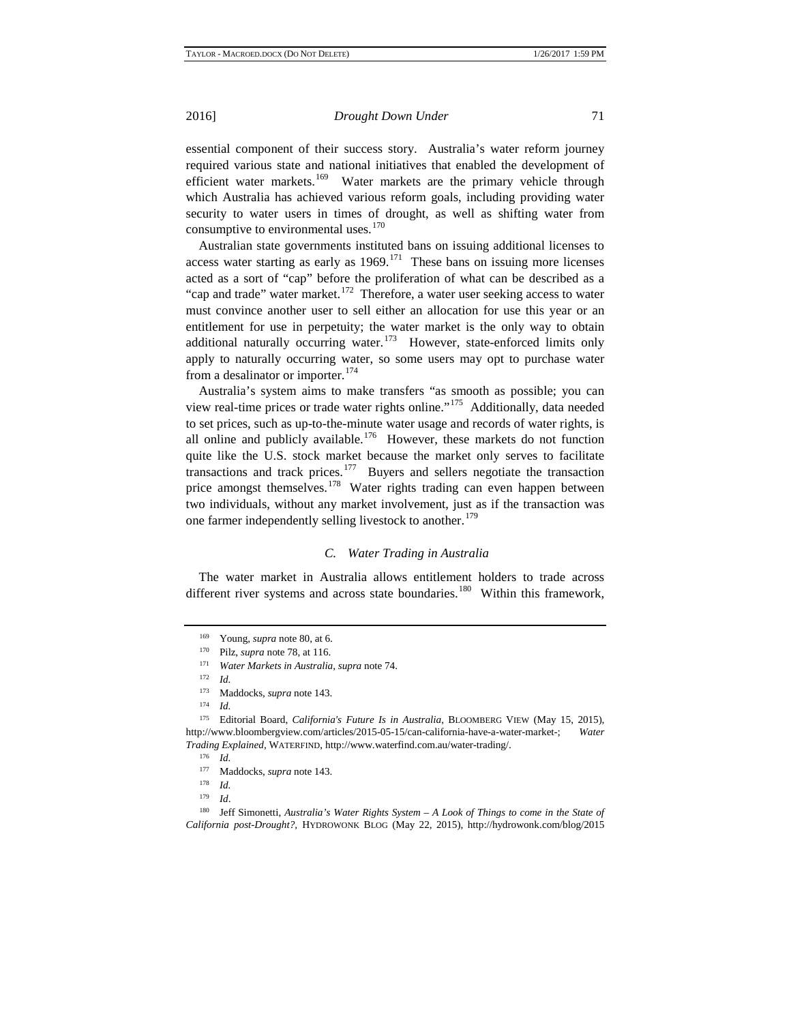essential component of their success story. Australia's water reform journey required various state and national initiatives that enabled the development of efficient water markets.<sup>[169](#page-18-3)</sup> Water markets are the primary vehicle through which Australia has achieved various reform goals, including providing water security to water users in times of drought, as well as shifting water from consumptive to environmental uses. $170$ 

Australian state governments instituted bans on issuing additional licenses to access water starting as early as  $1969$ .<sup>171</sup> These bans on issuing more licenses acted as a sort of "cap" before the proliferation of what can be described as a "cap and trade" water market.<sup>172</sup> Therefore, a water user seeking access to water must convince another user to sell either an allocation for use this year or an entitlement for use in perpetuity; the water market is the only way to obtain additional naturally occurring water.<sup>[173](#page-18-7)</sup> However, state-enforced limits only apply to naturally occurring water, so some users may opt to purchase water from a desalinator or importer.<sup>[174](#page-18-8)</sup>

Australia's system aims to make transfers "as smooth as possible; you can view real-time prices or trade water rights online."<sup>175</sup> Additionally, data needed to set prices, such as up-to-the-minute water usage and records of water rights, is all online and publicly available.<sup>176</sup> However, these markets do not function quite like the U.S. stock market because the market only serves to facilitate transactions and track prices.<sup>[177](#page-19-0)</sup> Buyers and sellers negotiate the transaction price amongst themselves.<sup>[178](#page-19-1)</sup> Water rights trading can even happen between two individuals, without any market involvement, just as if the transaction was one farmer independently selling livestock to another.<sup>[179](#page-19-2)</sup>

# *C. Water Trading in Australia*

The water market in Australia allows entitlement holders to trade across different river systems and across state boundaries.<sup>[180](#page-19-3)</sup> Within this framework,

<sup>169</sup> Young, *supra* note 80, at 6.

<sup>170</sup> Pilz, *supra* note 78, at 116.

<sup>171</sup> *Water Markets in Australia*, *supra* note 74.

<sup>172</sup> *Id.*

<sup>173</sup> Maddocks, *supra* note 143.

<sup>174</sup> *Id.*

<span id="page-18-7"></span><span id="page-18-6"></span><span id="page-18-5"></span><span id="page-18-4"></span><span id="page-18-3"></span><span id="page-18-2"></span><span id="page-18-1"></span><span id="page-18-0"></span><sup>&</sup>lt;sup>175</sup> Editorial Board, *California's Future Is in Australia*, BLOOMBERG VIEW (May 15, 2015), http://www.bloombergview.com/articles/2015-05-15/can-california-have-a-water-market-; *Water Trading Explained*, WATERFIND, http://www.waterfind.com.au/water-trading/. 176 *Id.*

<sup>177</sup> Maddocks, *supra* note 143.

<sup>178</sup> *Id.*

<sup>179</sup> *Id*.

<span id="page-18-10"></span><span id="page-18-9"></span><span id="page-18-8"></span><sup>180</sup> Jeff Simonetti, *Australia's Water Rights System – A Look of Things to come in the State of California post-Drought?,* HYDROWONK BLOG (May 22, 2015), http://hydrowonk.com/blog/2015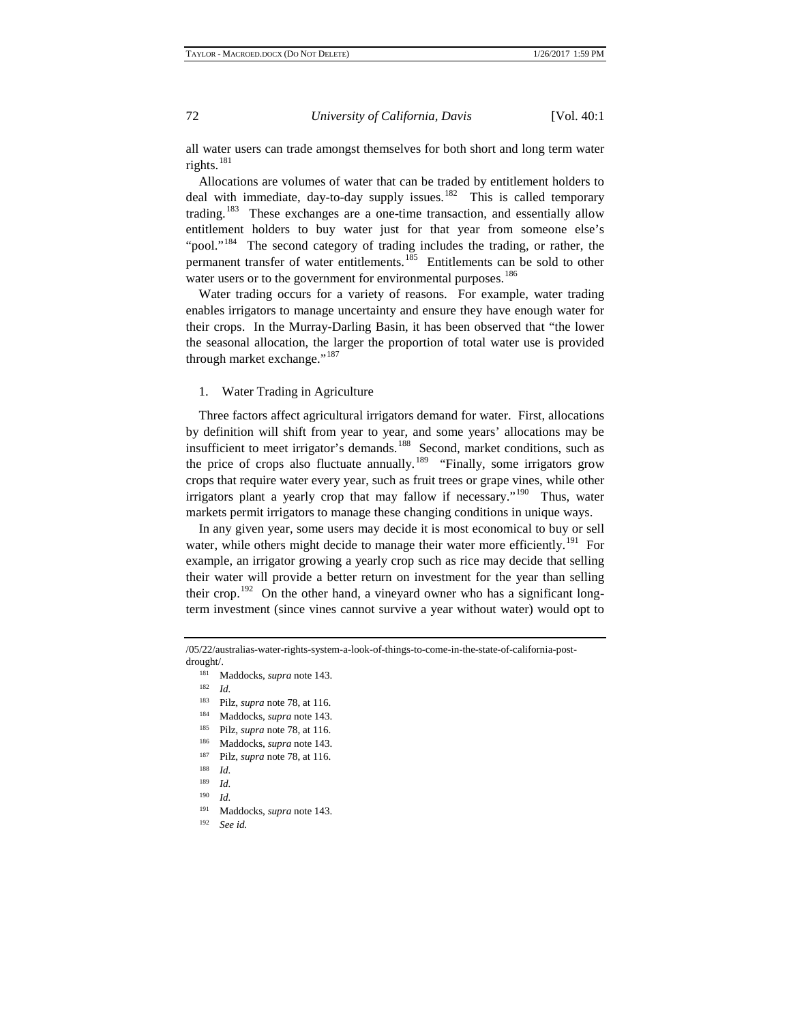all water users can trade amongst themselves for both short and long term water rights. $181$ 

Allocations are volumes of water that can be traded by entitlement holders to deal with immediate, day-to-day supply issues. $182$  This is called temporary trading.<sup>[183](#page-19-6)</sup> These exchanges are a one-time transaction, and essentially allow entitlement holders to buy water just for that year from someone else's "pool."<sup>[184](#page-19-7)</sup> The second category of trading includes the trading, or rather, the permanent transfer of water entitlements.[185](#page-19-8) Entitlements can be sold to other water users or to the government for environmental purposes.<sup>[186](#page-19-9)</sup>

Water trading occurs for a variety of reasons. For example, water trading enables irrigators to manage uncertainty and ensure they have enough water for their crops. In the Murray-Darling Basin, it has been observed that "the lower the seasonal allocation, the larger the proportion of total water use is provided through market exchange."<sup>[187](#page-19-10)</sup>

# 1. Water Trading in Agriculture

Three factors affect agricultural irrigators demand for water. First, allocations by definition will shift from year to year, and some years' allocations may be insufficient to meet irrigator's demands.<sup>[188](#page-19-11)</sup> Second, market conditions, such as the price of crops also fluctuate annually.<sup>189</sup> "Finally, some irrigators grow crops that require water every year, such as fruit trees or grape vines, while other irrigators plant a yearly crop that may fallow if necessary."<sup>[190](#page-20-1)</sup> Thus, water markets permit irrigators to manage these changing conditions in unique ways.

In any given year, some users may decide it is most economical to buy or sell water, while others might decide to manage their water more efficiently.<sup>[191](#page-20-2)</sup> For example, an irrigator growing a yearly crop such as rice may decide that selling their water will provide a better return on investment for the year than selling their crop.<sup>[192](#page-20-3)</sup> On the other hand, a vineyard owner who has a significant longterm investment (since vines cannot survive a year without water) would opt to

<span id="page-19-3"></span><span id="page-19-2"></span><span id="page-19-1"></span><span id="page-19-0"></span><sup>/05/22/</sup>australias-water-rights-system-a-look-of-things-to-come-in-the-state-of-california-postdrought/.

<sup>181</sup> Maddocks, *supra* note 143.

 $\frac{182}{183}$  *Id.* 

Pilz, *supra* note 78, at 116.

<sup>184</sup> Maddocks, *supra* note 143.

<sup>185</sup> Pilz, *supra* note 78, at 116.

<span id="page-19-6"></span><span id="page-19-5"></span><span id="page-19-4"></span><sup>186</sup> Maddocks, *supra* note 143.

<span id="page-19-7"></span><sup>187</sup> Pilz, *supra* note 78, at 116.

 $\frac{188}{189}$  *Id.* 

<span id="page-19-8"></span>*Id.* 

<span id="page-19-10"></span><span id="page-19-9"></span> $\frac{190}{191}$  *Id.* 

Maddocks, *supra* note 143.

<span id="page-19-11"></span><sup>192</sup> *See id.*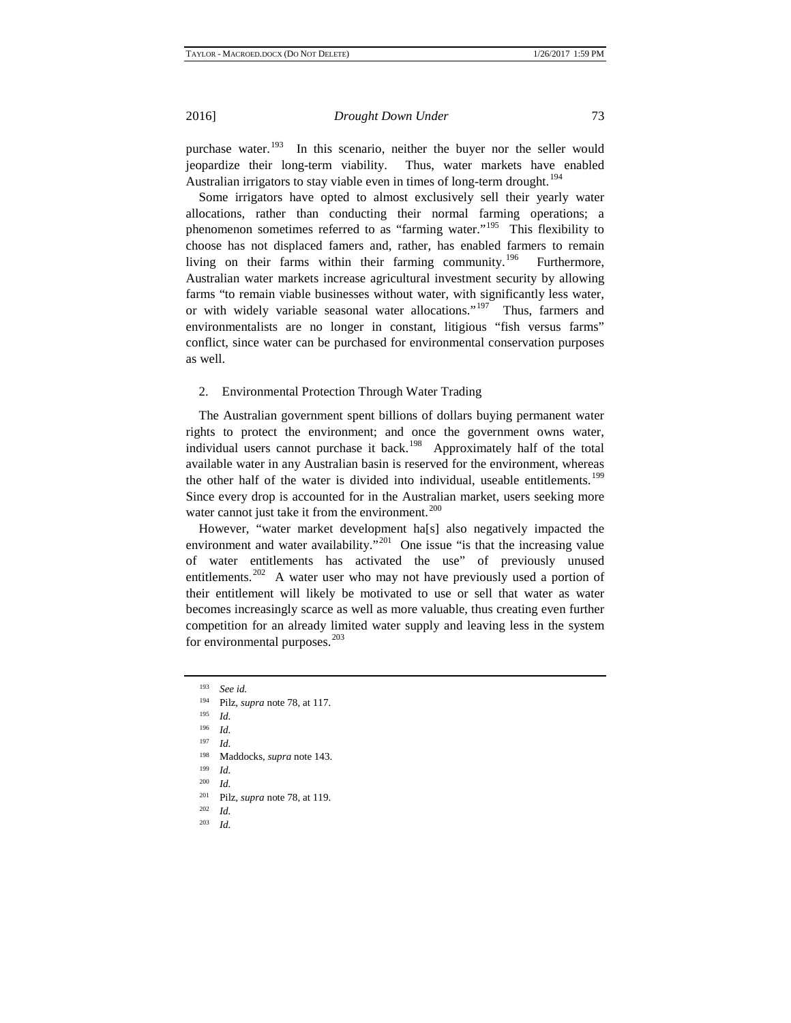purchase water.<sup>[193](#page-20-4)</sup> In this scenario, neither the buyer nor the seller would jeopardize their long-term viability. Thus, water markets have enabled Australian irrigators to stay viable even in times of long-term drought.<sup>[194](#page-20-5)</sup>

Some irrigators have opted to almost exclusively sell their yearly water allocations, rather than conducting their normal farming operations; a phenomenon sometimes referred to as "farming water."<sup>[195](#page-20-6)</sup> This flexibility to choose has not displaced famers and, rather, has enabled farmers to remain living on their farms within their farming community.<sup>196</sup> Furthermore, Australian water markets increase agricultural investment security by allowing farms "to remain viable businesses without water, with significantly less water, or with widely variable seasonal water allocations."<sup>197</sup> Thus, farmers and environmentalists are no longer in constant, litigious "fish versus farms" conflict, since water can be purchased for environmental conservation purposes as well.

# 2. Environmental Protection Through Water Trading

The Australian government spent billions of dollars buying permanent water rights to protect the environment; and once the government owns water, individual users cannot purchase it back.<sup>198</sup> Approximately half of the total available water in any Australian basin is reserved for the environment, whereas the other half of the water is divided into individual, useable entitlements.<sup>[199](#page-20-10)</sup> Since every drop is accounted for in the Australian market, users seeking more water cannot just take it from the environment.<sup>[200](#page-21-0)</sup>

However, "water market development ha[s] also negatively impacted the environment and water availability."<sup>[201](#page-21-1)</sup> One issue "is that the increasing value of water entitlements has activated the use" of previously unused entitlements.<sup>202</sup> A water user who may not have previously used a portion of their entitlement will likely be motivated to use or sell that water as water becomes increasingly scarce as well as more valuable, thus creating even further competition for an already limited water supply and leaving less in the system for environmental purposes.<sup>[203](#page-21-3)</sup>

*Id.* 

<span id="page-20-10"></span><span id="page-20-9"></span>*Id.* <sup>203</sup> *Id.*

<span id="page-20-0"></span><sup>193</sup> *See id.*

<span id="page-20-1"></span>Pilz, *supra* note 78, at 117.

<span id="page-20-2"></span><sup>195</sup> *Id.*

<span id="page-20-3"></span><sup>196</sup> *Id.*

<span id="page-20-4"></span><sup>197</sup> *Id.*

<sup>198</sup> Maddocks, *supra* note 143.

<span id="page-20-7"></span><span id="page-20-6"></span><span id="page-20-5"></span> $\frac{199}{200}$  *Id.* 

<span id="page-20-8"></span><sup>&</sup>lt;sup>201</sup> Pilz, *supra* note 78, at 119.<br><sup>202</sup> *L*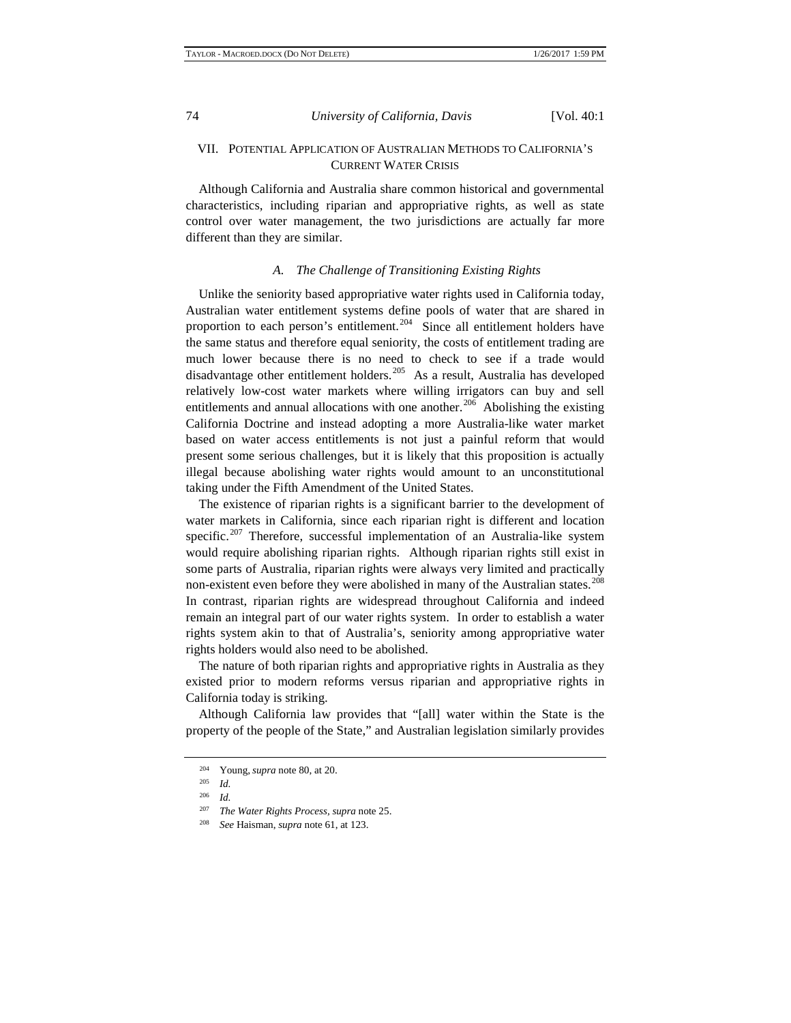# VII. POTENTIAL APPLICATION OF AUSTRALIAN METHODS TO CALIFORNIA'S CURRENT WATER CRISIS

Although California and Australia share common historical and governmental characteristics, including riparian and appropriative rights, as well as state control over water management, the two jurisdictions are actually far more different than they are similar.

### *A. The Challenge of Transitioning Existing Rights*

Unlike the seniority based appropriative water rights used in California today, Australian water entitlement systems define pools of water that are shared in proportion to each person's entitlement.<sup>[204](#page-21-4)</sup> Since all entitlement holders have the same status and therefore equal seniority, the costs of entitlement trading are much lower because there is no need to check to see if a trade would disadvantage other entitlement holders.[205](#page-21-5) As a result, Australia has developed relatively low-cost water markets where willing irrigators can buy and sell entitlements and annual allocations with one another.<sup>206</sup> Abolishing the existing California Doctrine and instead adopting a more Australia-like water market based on water access entitlements is not just a painful reform that would present some serious challenges, but it is likely that this proposition is actually illegal because abolishing water rights would amount to an unconstitutional taking under the Fifth Amendment of the United States.

The existence of riparian rights is a significant barrier to the development of water markets in California, since each riparian right is different and location specific.<sup>[207](#page-22-0)</sup> Therefore, successful implementation of an Australia-like system would require abolishing riparian rights. Although riparian rights still exist in some parts of Australia, riparian rights were always very limited and practically non-existent even before they were abolished in many of the Australian states.<sup>[208](#page-22-1)</sup> In contrast, riparian rights are widespread throughout California and indeed remain an integral part of our water rights system. In order to establish a water rights system akin to that of Australia's, seniority among appropriative water rights holders would also need to be abolished.

The nature of both riparian rights and appropriative rights in Australia as they existed prior to modern reforms versus riparian and appropriative rights in California today is striking.

<span id="page-21-2"></span><span id="page-21-1"></span><span id="page-21-0"></span>Although California law provides that "[all] water within the State is the property of the people of the State," and Australian legislation similarly provides

<sup>&</sup>lt;sup>204</sup> Young, *supra* note 80, at 20.

<span id="page-21-3"></span>*Id.* 

<span id="page-21-6"></span><span id="page-21-5"></span><span id="page-21-4"></span> $\frac{206}{207}$  *Id.* 

<sup>207</sup> *The Water Rights Process, supra* note 25. 208 *See* Haisman, *supra* note 61, at 123.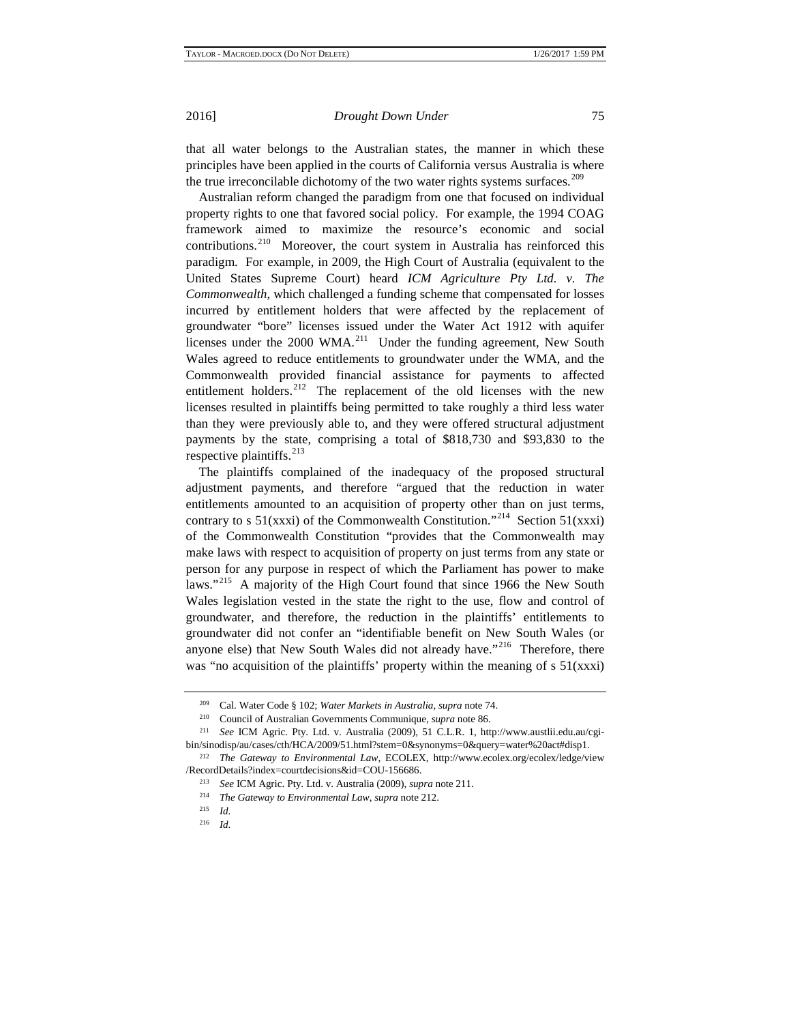that all water belongs to the Australian states, the manner in which these principles have been applied in the courts of California versus Australia is where the true irreconcilable dichotomy of the two water rights systems surfaces.<sup>[209](#page-22-2)</sup>

Australian reform changed the paradigm from one that focused on individual property rights to one that favored social policy. For example, the 1994 COAG framework aimed to maximize the resource's economic and social contributions.<sup>210</sup> Moreover, the court system in Australia has reinforced this paradigm. For example, in 2009, the High Court of Australia (equivalent to the United States Supreme Court) heard *ICM Agriculture Pty Ltd. v. The Commonwealth*, which challenged a funding scheme that compensated for losses incurred by entitlement holders that were affected by the replacement of groundwater "bore" licenses issued under the Water Act 1912 with aquifer licenses under the 2000 WMA.<sup>[211](#page-22-4)</sup> Under the funding agreement, New South Wales agreed to reduce entitlements to groundwater under the WMA, and the Commonwealth provided financial assistance for payments to affected entitlement holders.<sup>[212](#page-22-5)</sup> The replacement of the old licenses with the new licenses resulted in plaintiffs being permitted to take roughly a third less water than they were previously able to, and they were offered structural adjustment payments by the state, comprising a total of \$818,730 and \$93,830 to the respective plaintiffs.<sup>[213](#page-22-6)</sup>

The plaintiffs complained of the inadequacy of the proposed structural adjustment payments, and therefore "argued that the reduction in water entitlements amounted to an acquisition of property other than on just terms, contrary to s  $51(xxxi)$  of the Commonwealth Constitution."<sup>214</sup> Section  $51(xxxi)$ of the Commonwealth Constitution "provides that the Commonwealth may make laws with respect to acquisition of property on just terms from any state or person for any purpose in respect of which the Parliament has power to make laws."<sup>[215](#page-23-1)</sup> A majority of the High Court found that since 1966 the New South Wales legislation vested in the state the right to the use, flow and control of groundwater, and therefore, the reduction in the plaintiffs' entitlements to groundwater did not confer an "identifiable benefit on New South Wales (or anyone else) that New South Wales did not already have."<sup>216</sup> Therefore, there was "no acquisition of the plaintiffs' property within the meaning of s  $51(xxxi)$ 

<sup>209</sup> Cal. Water Code § 102; *Water Markets in Australia*, *supra* note 74.

<sup>210</sup> Council of Australian Governments Communique, *supra* note 86.

<span id="page-22-2"></span><span id="page-22-1"></span><span id="page-22-0"></span>See ICM Agric. Pty. Ltd. v. Australia (2009), 51 C.L.R. 1, http://www.austlii.edu.au/cgibin/sinodisp/au/cases/cth/HCA/2009/51.html?stem=0&synonyms=0&query=water%20act#disp1.

<span id="page-22-6"></span><span id="page-22-5"></span><span id="page-22-4"></span><span id="page-22-3"></span><sup>212</sup> *The Gateway to Environmental Law*, ECOLEX, http://www.ecolex.org/ecolex/ledge/view /RecordDetails?index=courtdecisions&id=COU-156686.

<sup>213</sup> *See* ICM Agric. Pty. Ltd. v. Australia (2009), *supra* note 211.

<sup>214</sup> *The Gateway to Environmental Law*, *supra* note 212.

<sup>215</sup> *Id.*

<sup>216</sup> *Id.*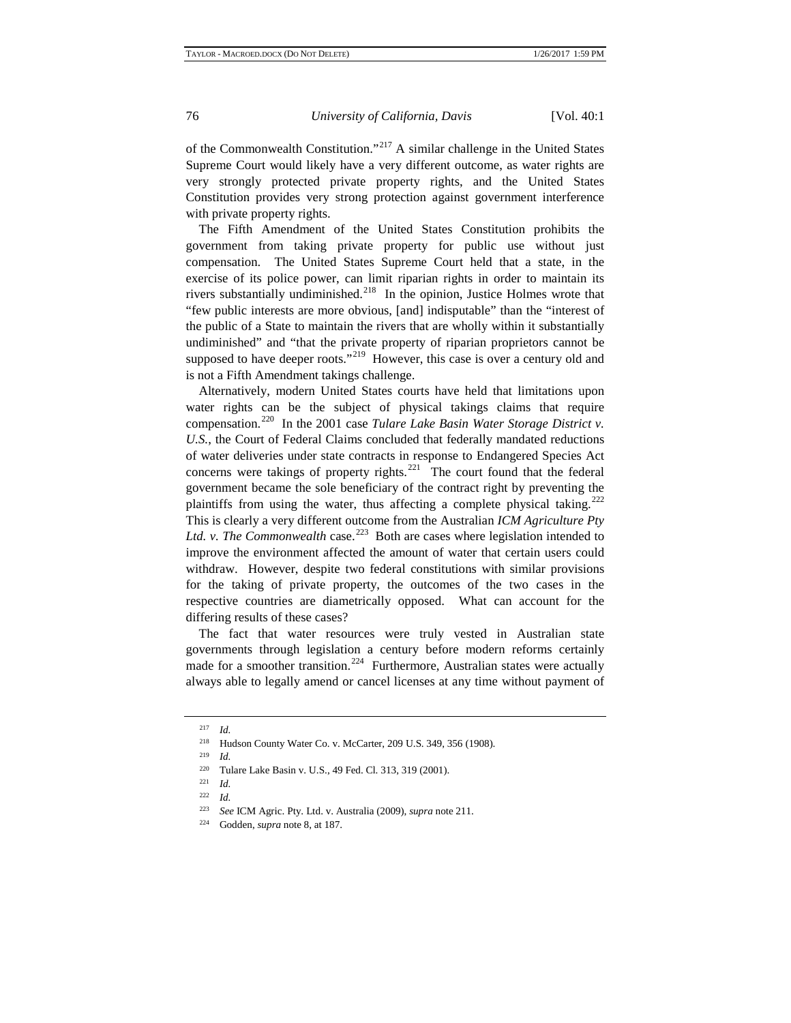of the Commonwealth Constitution."[217](#page-23-3) A similar challenge in the United States Supreme Court would likely have a very different outcome, as water rights are very strongly protected private property rights, and the United States Constitution provides very strong protection against government interference with private property rights.

The Fifth Amendment of the United States Constitution prohibits the government from taking private property for public use without just compensation. The United States Supreme Court held that a state, in the exercise of its police power, can limit riparian rights in order to maintain its rivers substantially undiminished.[218](#page-23-4) In the opinion, Justice Holmes wrote that "few public interests are more obvious, [and] indisputable" than the "interest of the public of a State to maintain the rivers that are wholly within it substantially undiminished" and "that the private property of riparian proprietors cannot be supposed to have deeper roots."<sup>219</sup> However, this case is over a century old and is not a Fifth Amendment takings challenge.

Alternatively, modern United States courts have held that limitations upon water rights can be the subject of physical takings claims that require compensation.[220](#page-23-6) In the 2001 case *Tulare Lake Basin Water Storage District v. U.S.*, the Court of Federal Claims concluded that federally mandated reductions of water deliveries under state contracts in response to Endangered Species Act concerns were takings of property rights.<sup>221</sup> The court found that the federal government became the sole beneficiary of the contract right by preventing the plaintiffs from using the water, thus affecting a complete physical taking.<sup>[222](#page-24-0)</sup> This is clearly a very different outcome from the Australian *ICM Agriculture Pty*  Ltd. v. The Commonwealth case.<sup>[223](#page-24-1)</sup> Both are cases where legislation intended to improve the environment affected the amount of water that certain users could withdraw. However, despite two federal constitutions with similar provisions for the taking of private property, the outcomes of the two cases in the respective countries are diametrically opposed. What can account for the differing results of these cases?

The fact that water resources were truly vested in Australian state governments through legislation a century before modern reforms certainly made for a smoother transition.<sup>224</sup> Furthermore, Australian states were actually always able to legally amend or cancel licenses at any time without payment of

<span id="page-23-0"></span><sup>217</sup> *Id.*

<span id="page-23-2"></span><span id="page-23-1"></span><sup>&</sup>lt;sup>218</sup> Hudson County Water Co. v. McCarter, 209 U.S. 349, 356 (1908).

<span id="page-23-3"></span><sup>&</sup>lt;sup>220</sup> Tulare Lake Basin v. U.S., 49 Fed. Cl. 313, 319 (2001).

*Id.* 

 $\frac{222}{223}$  *Id.* 

<span id="page-23-7"></span><span id="page-23-6"></span><span id="page-23-5"></span><span id="page-23-4"></span><sup>223</sup> *See* ICM Agric. Pty. Ltd. v. Australia (2009), *supra* note 211.

<sup>224</sup> Godden, *supra* note 8, at 187.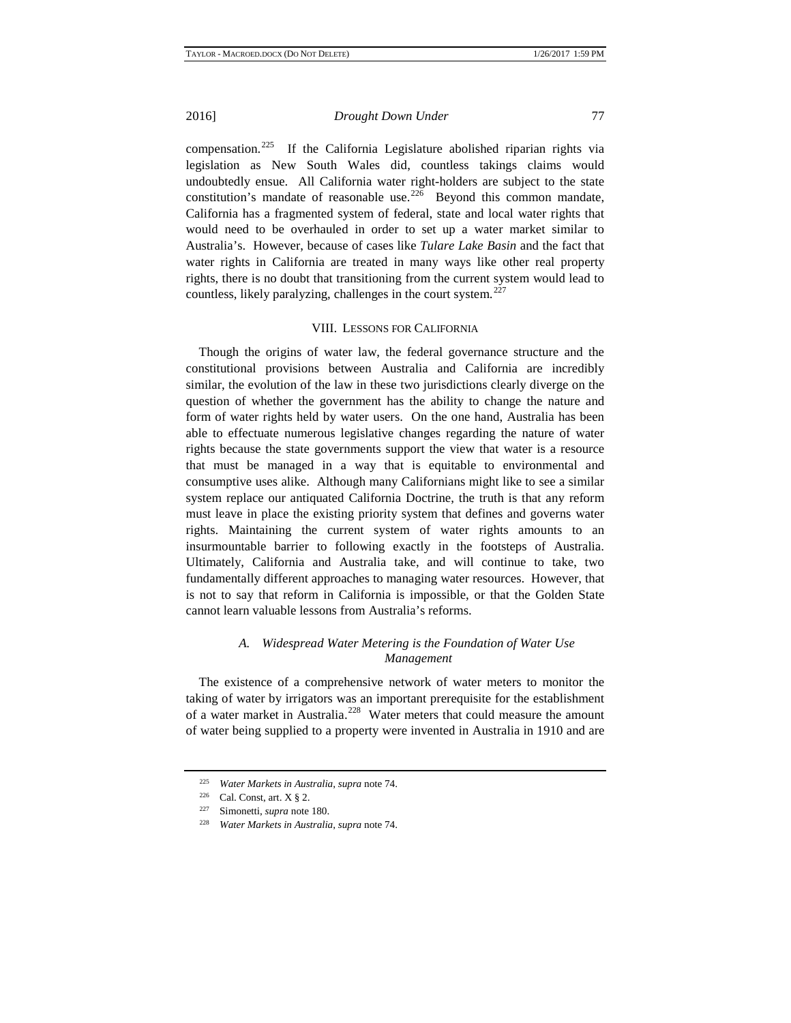compensation.[225](#page-24-3) If the California Legislature abolished riparian rights via legislation as New South Wales did, countless takings claims would undoubtedly ensue. All California water right-holders are subject to the state constitution's mandate of reasonable use.<sup>226</sup> Beyond this common mandate, California has a fragmented system of federal, state and local water rights that would need to be overhauled in order to set up a water market similar to Australia's. However, because of cases like *Tulare Lake Basin* and the fact that water rights in California are treated in many ways like other real property rights, there is no doubt that transitioning from the current system would lead to countless, likely paralyzing, challenges in the court system.<sup>[227](#page-24-5)</sup>

# VIII. LESSONS FOR CALIFORNIA

Though the origins of water law, the federal governance structure and the constitutional provisions between Australia and California are incredibly similar, the evolution of the law in these two jurisdictions clearly diverge on the question of whether the government has the ability to change the nature and form of water rights held by water users. On the one hand, Australia has been able to effectuate numerous legislative changes regarding the nature of water rights because the state governments support the view that water is a resource that must be managed in a way that is equitable to environmental and consumptive uses alike. Although many Californians might like to see a similar system replace our antiquated California Doctrine, the truth is that any reform must leave in place the existing priority system that defines and governs water rights. Maintaining the current system of water rights amounts to an insurmountable barrier to following exactly in the footsteps of Australia. Ultimately, California and Australia take, and will continue to take, two fundamentally different approaches to managing water resources. However, that is not to say that reform in California is impossible, or that the Golden State cannot learn valuable lessons from Australia's reforms.

# *A. Widespread Water Metering is the Foundation of Water Use Management*

<span id="page-24-0"></span>The existence of a comprehensive network of water meters to monitor the taking of water by irrigators was an important prerequisite for the establishment of a water market in Australia.<sup>[228](#page-25-0)</sup> Water meters that could measure the amount of water being supplied to a property were invented in Australia in 1910 and are

<span id="page-24-2"></span><span id="page-24-1"></span><sup>225</sup> *Water Markets in Australia*, *supra* note 74.

<sup>&</sup>lt;sup>226</sup> Cal. Const, art.  $X \S 2$ .

<span id="page-24-5"></span><span id="page-24-4"></span><span id="page-24-3"></span>Simonetti, *supra* note 180.

<sup>228</sup> *Water Markets in Australia*, *supra* note 74.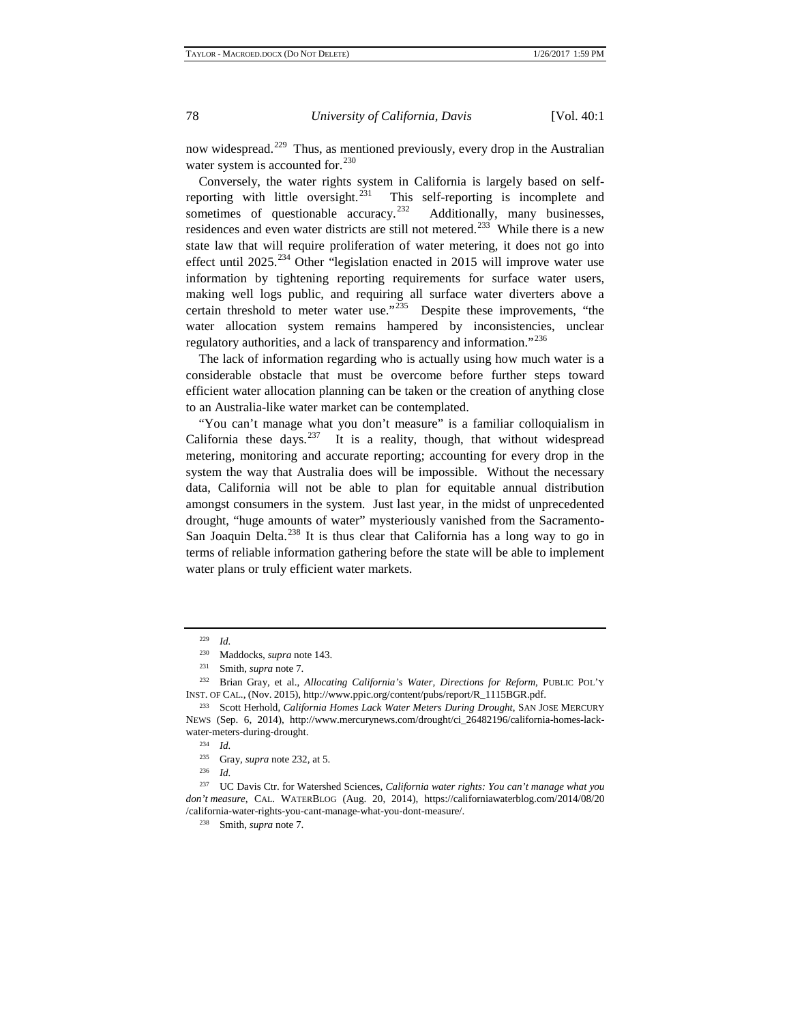now widespread.<sup>[229](#page-25-1)</sup> Thus, as mentioned previously, every drop in the Australian water system is accounted for.<sup>[230](#page-25-2)</sup>

Conversely, the water rights system in California is largely based on self-reporting with little oversight.<sup>[231](#page-25-3)</sup> This self-reporting is incomplete and sometimes of questionable accuracy.<sup>[232](#page-25-4)</sup> Additionally, many businesses, residences and even water districts are still not metered.<sup>233</sup> While there is a new state law that will require proliferation of water metering, it does not go into effect until  $2025$ <sup>[234](#page-25-6)</sup> Other "legislation enacted in 2015 will improve water use information by tightening reporting requirements for surface water users, making well logs public, and requiring all surface water diverters above a certain threshold to meter water use."<sup>[235](#page-25-7)</sup> Despite these improvements, "the water allocation system remains hampered by inconsistencies, unclear regulatory authorities, and a lack of transparency and information."<sup>[236](#page-25-8)</sup>

The lack of information regarding who is actually using how much water is a considerable obstacle that must be overcome before further steps toward efficient water allocation planning can be taken or the creation of anything close to an Australia-like water market can be contemplated.

"You can't manage what you don't measure" is a familiar colloquialism in California these days. <sup>[237](#page-26-0)</sup> It is a reality, though, that without widespread metering, monitoring and accurate reporting; accounting for every drop in the system the way that Australia does will be impossible. Without the necessary data, California will not be able to plan for equitable annual distribution amongst consumers in the system. Just last year, in the midst of unprecedented drought, "huge amounts of water" mysteriously vanished from the Sacramento-San Joaquin Delta. $^{238}$  $^{238}$  $^{238}$  It is thus clear that California has a long way to go in terms of reliable information gathering before the state will be able to implement water plans or truly efficient water markets.

 $\frac{229}{230}$  *Id.* 

<sup>230</sup> Maddocks, *supra* note 143.

<sup>231</sup> Smith, *supra* note 7.

<span id="page-25-1"></span><span id="page-25-0"></span><sup>232</sup> Brian Gray, et al., *Allocating California's Water, Directions for Reform*, PUBLIC POL'Y INST. OF CAL., (Nov. 2015), http://www.ppic.org/content/pubs/report/R\_1115BGR.pdf.

<span id="page-25-4"></span><span id="page-25-3"></span><span id="page-25-2"></span><sup>&</sup>lt;sup>233</sup> Scott Herhold, *California Homes Lack Water Meters During Drought*, SAN JOSE MERCURY NEWS (Sep. 6, 2014), http://www.mercurynews.com/drought/ci\_26482196/california-homes-lackwater-meters-during-drought.<br>
<sup>234</sup> LJ

 $\frac{234}{235}$  *Id.* 

<sup>&</sup>lt;sup>235</sup> Gray, *supra* note 232, at 5.<br><sup>236</sup> *L* 

<sup>236</sup> *Id.*

<span id="page-25-8"></span><span id="page-25-7"></span><span id="page-25-6"></span><span id="page-25-5"></span><sup>237</sup> UC Davis Ctr. for Watershed Sciences, *California water rights: You can't manage what you don't measure*, CAL. WATERBLOG (Aug. 20, 2014), https://californiawaterblog.com/2014/08/20 /california-water-rights-you-cant-manage-what-you-dont-measure/.

<sup>238</sup> Smith, *supra* note 7.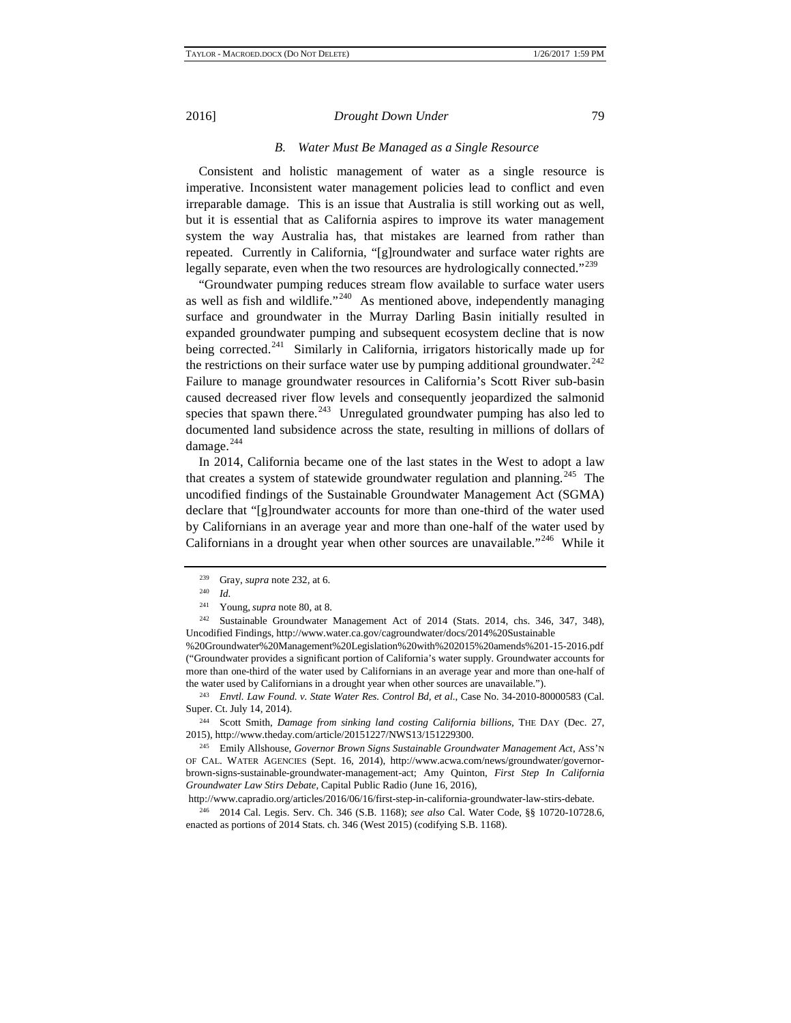# *B. Water Must Be Managed as a Single Resource*

Consistent and holistic management of water as a single resource is imperative. Inconsistent water management policies lead to conflict and even irreparable damage. This is an issue that Australia is still working out as well, but it is essential that as California aspires to improve its water management system the way Australia has, that mistakes are learned from rather than repeated. Currently in California, "[g]roundwater and surface water rights are legally separate, even when the two resources are hydrologically connected."<sup>[239](#page-26-2)</sup>

"Groundwater pumping reduces stream flow available to surface water users as well as fish and wildlife. $1240$  $1240$  As mentioned above, independently managing surface and groundwater in the Murray Darling Basin initially resulted in expanded groundwater pumping and subsequent ecosystem decline that is now being corrected.<sup>[241](#page-26-4)</sup> Similarly in California, irrigators historically made up for the restrictions on their surface water use by pumping additional groundwater.<sup>[242](#page-26-5)</sup> Failure to manage groundwater resources in California's Scott River sub-basin caused decreased river flow levels and consequently jeopardized the salmonid species that spawn there. $243$  Unregulated groundwater pumping has also led to documented land subsidence across the state, resulting in millions of dollars of damage. $^{244}$  $^{244}$  $^{244}$ 

In 2014, California became one of the last states in the West to adopt a law that creates a system of statewide groundwater regulation and planning.<sup>[245](#page-27-1)</sup> The uncodified findings of the Sustainable Groundwater Management Act (SGMA) declare that "[g]roundwater accounts for more than one-third of the water used by Californians in an average year and more than one-half of the water used by Californians in a drought year when other sources are unavailable."<sup>246</sup> While it

<sup>242</sup> Sustainable Groundwater Management Act of 2014 (Stats. 2014, chs. 346, 347, 348), Uncodified Findings, http://www.water.ca.gov/cagroundwater/docs/2014%20Sustainable

<span id="page-26-0"></span>%20Groundwater%20Management%20Legislation%20with%202015%20amends%201-15-2016.pdf ("Groundwater provides a significant portion of California's water supply. Groundwater accounts for more than one-third of the water used by Californians in an average year and more than one-half of the water used by Californians in a drought year when other sources are unavailable.").

<span id="page-26-3"></span><span id="page-26-2"></span><span id="page-26-1"></span><sup>243</sup> *Envtl. Law Found. v. State Water Res. Control Bd, et al.*, Case No. 34-2010-80000583 (Cal. Super. Ct. July 14, 2014).

<span id="page-26-4"></span><sup>244</sup> Scott Smith, *Damage from sinking land costing California billions*, THE DAY (Dec. 27, 2015), http://www.theday.com/article/20151227/NWS13/151229300.

<span id="page-26-5"></span><sup>245</sup> Emily Allshouse, *Governor Brown Signs Sustainable Groundwater Management Act*, ASS'N OF CAL. WATER AGENCIES (Sept. 16, 2014), http://www.acwa.com/news/groundwater/governorbrown-signs-sustainable-groundwater-management-act; Amy Quinton, *First Step In California Groundwater Law Stirs Debate,* Capital Public Radio (June 16, 2016),

http://www.capradio.org/articles/2016/06/16/first-step-in-california-groundwater-law-stirs-debate.

<span id="page-26-6"></span><sup>246</sup> 2014 Cal. Legis. Serv. Ch. 346 (S.B. 1168); *see also* Cal. Water Code, §§ 10720-10728.6, enacted as portions of 2014 Stats. ch. 346 (West 2015) (codifying S.B. 1168).

<sup>239</sup> Gray, *supra* note 232, at 6.

<sup>240</sup> *Id.*

<sup>241</sup> Young, *supra* note 80, at 8.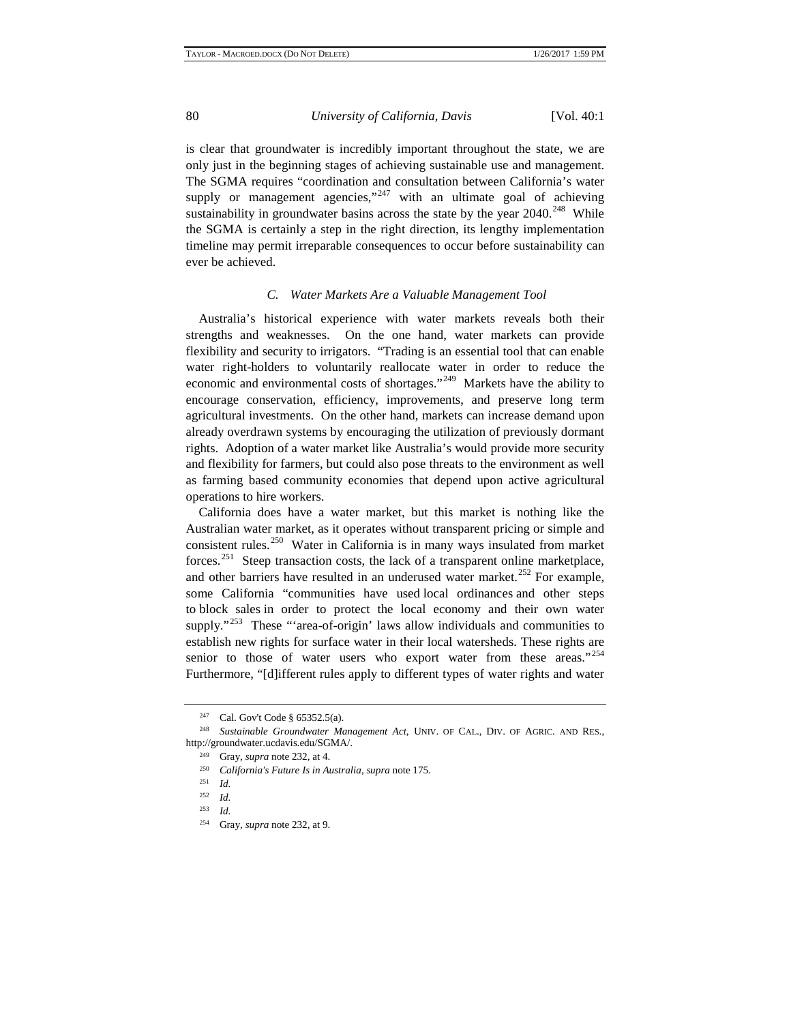is clear that groundwater is incredibly important throughout the state, we are only just in the beginning stages of achieving sustainable use and management. The SGMA requires "coordination and consultation between California's water supply or management agencies," $247$  with an ultimate goal of achieving sustainability in groundwater basins across the state by the year  $2040.^{248}$  While the SGMA is certainly a step in the right direction, its lengthy implementation timeline may permit irreparable consequences to occur before sustainability can ever be achieved.

#### *C. Water Markets Are a Valuable Management Tool*

Australia's historical experience with water markets reveals both their strengths and weaknesses. On the one hand, water markets can provide flexibility and security to irrigators. "Trading is an essential tool that can enable water right-holders to voluntarily reallocate water in order to reduce the economic and environmental costs of shortages."[249](#page-27-5) Markets have the ability to encourage conservation, efficiency, improvements, and preserve long term agricultural investments. On the other hand, markets can increase demand upon already overdrawn systems by encouraging the utilization of previously dormant rights. Adoption of a water market like Australia's would provide more security and flexibility for farmers, but could also pose threats to the environment as well as farming based community economies that depend upon active agricultural operations to hire workers.

California does have a water market, but this market is nothing like the Australian water market, as it operates without transparent pricing or simple and consistent rules.<sup>[250](#page-28-0)</sup> Water in California is in many ways insulated from market forces.<sup>[251](#page-28-1)</sup> Steep transaction costs, the lack of a transparent online marketplace, and other barriers have resulted in an underused water market.<sup>[252](#page-28-2)</sup> For example, some California "communities have used local ordinances and other steps to block sales in order to protect the local economy and their own water supply."<sup>253</sup> These "'area-of-origin' laws allow individuals and communities to establish new rights for surface water in their local watersheds. These rights are senior to those of water users who export water from these areas."<sup>[254](#page-28-4)</sup> Furthermore, "[d]ifferent rules apply to different types of water rights and water

<sup>247</sup> Cal. Gov't Code § 65352.5(a).

<span id="page-27-4"></span><span id="page-27-3"></span><span id="page-27-2"></span><span id="page-27-1"></span><span id="page-27-0"></span><sup>248</sup> *Sustainable Groundwater Management Act*, UNIV. OF CAL., DIV. OF AGRIC. AND RES., http://groundwater.ucdavis.edu/SGMA/. 249 Gray, *supra* note 232, at 4.

<sup>250</sup> *California's Future Is in Australia*, *supra* note 175.

*Id.* 

 $\frac{252}{253}$  *Id.* 

*Id.* 

<span id="page-27-5"></span><sup>254</sup> Gray, *supra* note 232, at 9.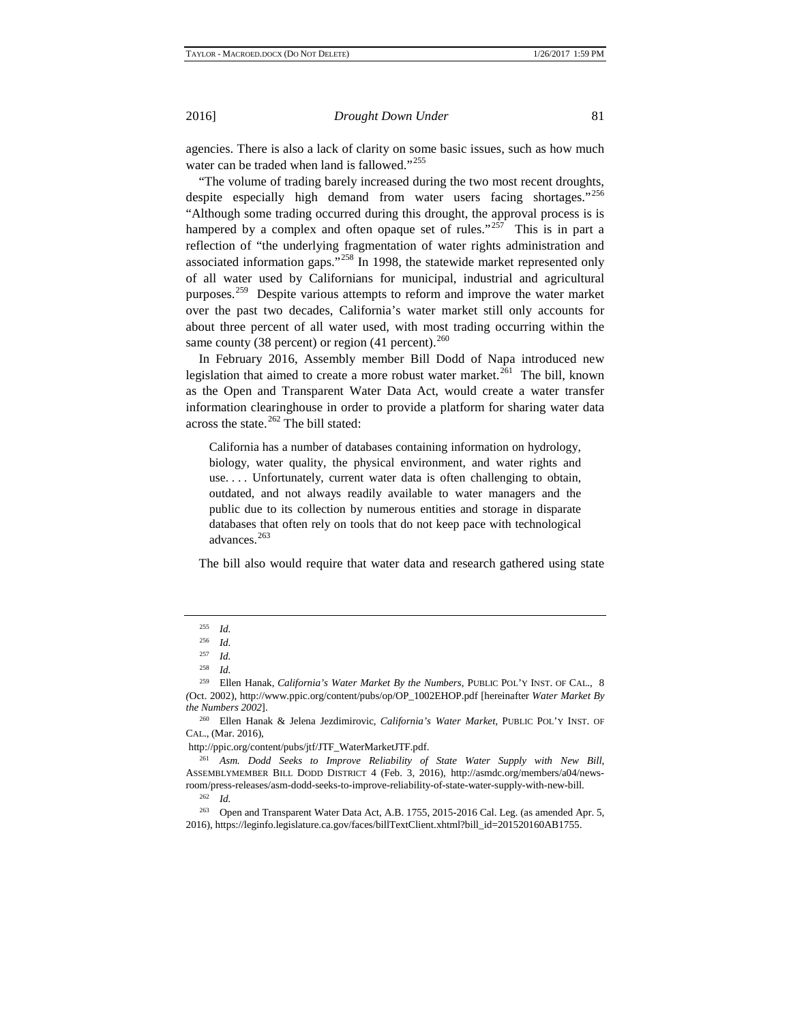agencies. There is also a lack of clarity on some basic issues, such as how much water can be traded when land is fallowed."<sup>[255](#page-28-5)</sup>

"The volume of trading barely increased during the two most recent droughts, despite especially high demand from water users facing shortages."[256](#page-28-6) "Although some trading occurred during this drought, the approval process is is hampered by a complex and often opaque set of rules."<sup>[257](#page-28-7)</sup> This is in part a reflection of "the underlying fragmentation of water rights administration and associated information gaps."<sup>[258](#page-28-8)</sup> In 1998, the statewide market represented only of all water used by Californians for municipal, industrial and agricultural purposes.<sup>[259](#page-28-9)</sup> Despite various attempts to reform and improve the water market over the past two decades, California's water market still only accounts for about three percent of all water used, with most trading occurring within the same county (38 percent) or region (41 percent). $^{260}$  $^{260}$  $^{260}$ 

In February 2016, Assembly member Bill Dodd of Napa introduced new legislation that aimed to create a more robust water market.<sup>[261](#page-28-11)</sup> The bill, known as the Open and Transparent Water Data Act, would create a water transfer information clearinghouse in order to provide a platform for sharing water data across the state. $262$  The bill stated:

California has a number of databases containing information on hydrology, biology, water quality, the physical environment, and water rights and use. . . . Unfortunately, current water data is often challenging to obtain, outdated, and not always readily available to water managers and the public due to its collection by numerous entities and storage in disparate databases that often rely on tools that do not keep pace with technological advances.<sup>[263](#page-29-1)</sup>

The bill also would require that water data and research gathered using state

<span id="page-28-0"></span><sup>255</sup> *Id.*

 $\frac{256}{257}$  *Id.* 

*Id.* 

<sup>258</sup> *Id.*

<span id="page-28-7"></span><span id="page-28-6"></span><span id="page-28-5"></span><span id="page-28-4"></span><span id="page-28-3"></span><span id="page-28-2"></span><span id="page-28-1"></span><sup>259</sup> Ellen Hanak, *California's Water Market By the Numbers*, PUBLIC POL'Y INST. OF CAL., 8 *(*Oct. 2002), http://www.ppic.org/content/pubs/op/OP\_1002EHOP.pdf [hereinafter *Water Market By the Numbers 2002*].

<span id="page-28-9"></span><span id="page-28-8"></span><sup>260</sup> Ellen Hanak & Jelena Jezdimirovic, *California's Water Market*, PUBLIC POL'Y INST. OF CAL., (Mar. 2016),

http://ppic.org/content/pubs/jtf/JTF\_WaterMarketJTF.pdf.

<span id="page-28-10"></span><sup>261</sup> *Asm. Dodd Seeks to Improve Reliability of State Water Supply with New Bill*, ASSEMBLYMEMBER BILL DODD DISTRICT 4 (Feb. 3, 2016), http://asmdc.org/members/a04/newsroom/press-releases/asm-dodd-seeks-to-improve-reliability-of-state-water-supply-with-new-bill.

<sup>262</sup> *Id.*

<span id="page-28-11"></span><sup>263</sup> Open and Transparent Water Data Act, A.B. 1755, 2015-2016 Cal. Leg. (as amended Apr. 5, 2016), https://leginfo.legislature.ca.gov/faces/billTextClient.xhtml?bill\_id=201520160AB1755.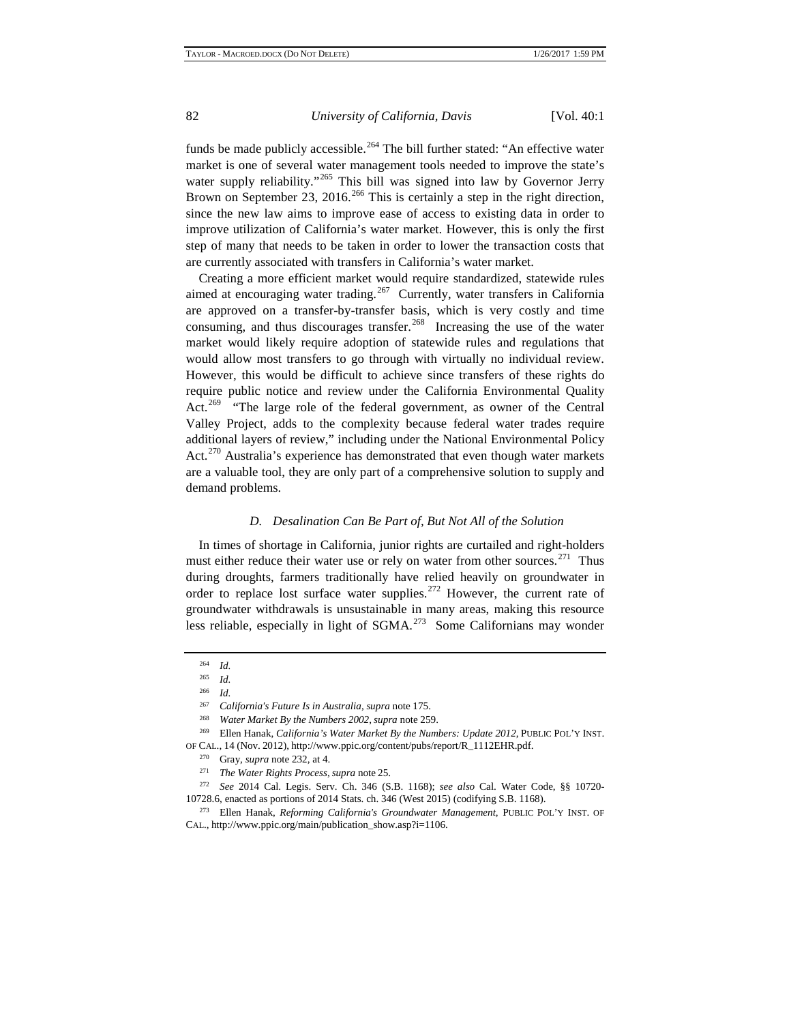funds be made publicly accessible.<sup>[264](#page-29-2)</sup> The bill further stated: "An effective water market is one of several water management tools needed to improve the state's water supply reliability."<sup>[265](#page-29-3)</sup> This bill was signed into law by Governor Jerry Brown on September 23, 2016.<sup>[266](#page-29-4)</sup> This is certainly a step in the right direction, since the new law aims to improve ease of access to existing data in order to improve utilization of California's water market. However, this is only the first step of many that needs to be taken in order to lower the transaction costs that are currently associated with transfers in California's water market.

Creating a more efficient market would require standardized, statewide rules aimed at encouraging water trading.<sup>267</sup> Currently, water transfers in California are approved on a transfer-by-transfer basis, which is very costly and time consuming, and thus discourages transfer.<sup>268</sup> Increasing the use of the water market would likely require adoption of statewide rules and regulations that would allow most transfers to go through with virtually no individual review. However, this would be difficult to achieve since transfers of these rights do require public notice and review under the California Environmental Quality Act.<sup>[269](#page-29-7)</sup> "The large role of the federal government, as owner of the Central Valley Project, adds to the complexity because federal water trades require additional layers of review," including under the National Environmental Policy Act.<sup>[270](#page-29-8)</sup> Australia's experience has demonstrated that even though water markets are a valuable tool, they are only part of a comprehensive solution to supply and demand problems.

# *D. Desalination Can Be Part of, But Not All of the Solution*

In times of shortage in California, junior rights are curtailed and right-holders must either reduce their water use or rely on water from other sources.<sup>271</sup> Thus during droughts, farmers traditionally have relied heavily on groundwater in order to replace lost surface water supplies.<sup>[272](#page-30-1)</sup> However, the current rate of groundwater withdrawals is unsustainable in many areas, making this resource less reliable, especially in light of SGMA.<sup>273</sup> Some Californians may wonder

<sup>264</sup> *Id.*

<sup>265</sup> *Id.*

<sup>266</sup> *Id.* 

<sup>267</sup> *California's Future Is in Australia*, *supra* note 175.

<sup>268</sup> *Water Market By the Numbers 2002*, *supra* note 259.

<span id="page-29-4"></span><span id="page-29-3"></span><span id="page-29-2"></span><span id="page-29-1"></span><span id="page-29-0"></span><sup>269</sup> Ellen Hanak, *California's Water Market By the Numbers: Update 2012*, PUBLIC POL'Y INST. OF CAL., 14 (Nov. 2012), http://www.ppic.org/content/pubs/report/R\_1112EHR.pdf.<br><sup>270</sup> Gray, supra pota 222, at 4.

Gray, *supra* note 232, at 4.

<sup>271</sup> *The Water Rights Process*, *supra* note 25.

<span id="page-29-6"></span><span id="page-29-5"></span><sup>272</sup> *See* 2014 Cal. Legis. Serv. Ch. 346 (S.B. 1168); *see also* Cal. Water Code, §§ 10720- 10728.6, enacted as portions of 2014 Stats. ch. 346 (West 2015) (codifying S.B. 1168).

<span id="page-29-8"></span><span id="page-29-7"></span><sup>273</sup> Ellen Hanak, *Reforming California's Groundwater Management,* PUBLIC POL'Y INST. OF CAL., http://www.ppic.org/main/publication\_show.asp?i=1106.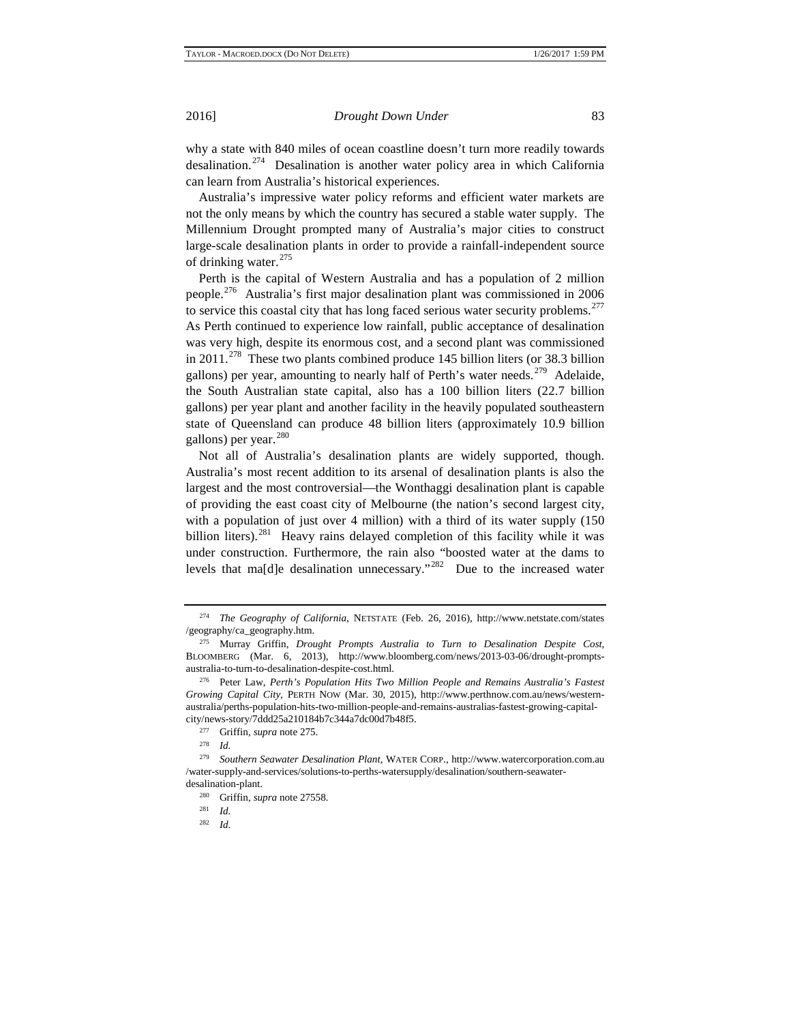why a state with 840 miles of ocean coastline doesn't turn more readily towards desalination.[274](#page-30-3) Desalination is another water policy area in which California can learn from Australia's historical experiences.

Australia's impressive water policy reforms and efficient water markets are not the only means by which the country has secured a stable water supply. The Millennium Drought prompted many of Australia's major cities to construct large-scale desalination plants in order to provide a rainfall-independent source of drinking water.<sup>[275](#page-30-4)</sup>

Perth is the capital of Western Australia and has a population of 2 million people.[276](#page-30-5) Australia's first major desalination plant was commissioned in 2006 to service this coastal city that has long faced serious water security problems.<sup>[277](#page-30-6)</sup> As Perth continued to experience low rainfall, public acceptance of desalination was very high, despite its enormous cost, and a second plant was commissioned in  $2011.^{278}$  $2011.^{278}$  $2011.^{278}$  These two plants combined produce 145 billion liters (or 38.3 billion gallons) per year, amounting to nearly half of Perth's water needs.<sup>279</sup> Adelaide, the South Australian state capital, also has a 100 billion liters (22.7 billion gallons) per year plant and another facility in the heavily populated southeastern state of Queensland can produce 48 billion liters (approximately 10.9 billion gallons) per year.<sup>[280](#page-31-0)</sup>

Not all of Australia's desalination plants are widely supported, though. Australia's most recent addition to its arsenal of desalination plants is also the largest and the most controversial—the Wonthaggi desalination plant is capable of providing the east coast city of Melbourne (the nation's second largest city, with a population of just over 4 million) with a third of its water supply (150 billion liters).<sup>[281](#page-31-1)</sup> Heavy rains delayed completion of this facility while it was under construction. Furthermore, the rain also "boosted water at the dams to levels that ma[d]e desalination unnecessary."<sup>282</sup> Due to the increased water

<span id="page-30-1"></span><span id="page-30-0"></span><sup>274</sup> *The Geography of California*, NETSTATE (Feb. 26, 2016), http://www.netstate.com/states /geography/ca\_geography.htm.

<span id="page-30-3"></span><span id="page-30-2"></span><sup>275</sup> Murray Griffin, *Drought Prompts Australia to Turn to Desalination Despite Cost*, BLOOMBERG (Mar. 6, 2013), http://www.bloomberg.com/news/2013-03-06/drought-promptsaustralia-to-turn-to-desalination-despite-cost.html.

<span id="page-30-5"></span><span id="page-30-4"></span><sup>276</sup> Peter Law, *Perth's Population Hits Two Million People and Remains Australia's Fastest Growing Capital City*, PERTH NOW (Mar. 30, 2015), http://www.perthnow.com.au/news/westernaustralia/perths-population-hits-two-million-people-and-remains-australias-fastest-growing-capitalcity/news-story/7ddd25a210184b7c344a7dc00d7b48f5.<br> $277$  Griffin supra pote 275

<sup>&</sup>lt;sup>277</sup> Griffin, *supra* note 275.<br><sup>278</sup> *Id* 

 $\frac{278}{279}$  *Id.* 

<span id="page-30-8"></span><span id="page-30-7"></span><span id="page-30-6"></span><sup>279</sup> *Southern Seawater Desalination Plant*, WATER CORP., http://www.watercorporation.com.au /water-supply-and-services/solutions-to-perths-watersupply/desalination/southern-seawaterdesalination-plant.

<sup>280</sup> Griffin, *supra* note 27558.

<sup>281</sup> *Id.*

<sup>282</sup> *Id.*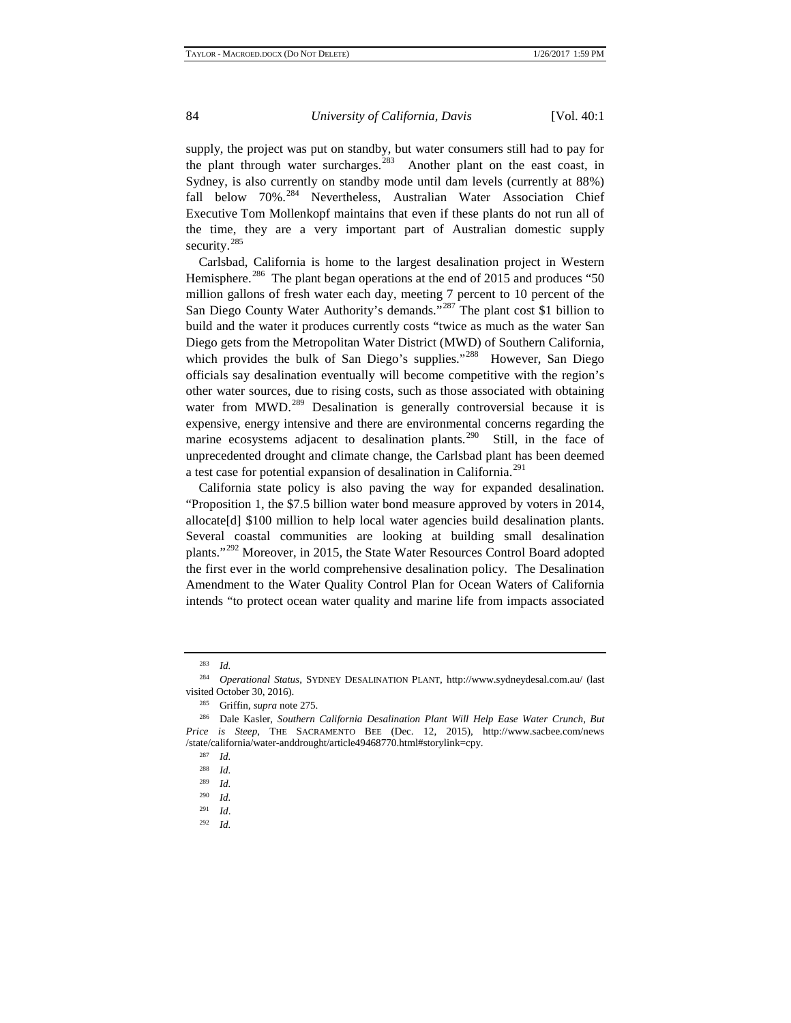supply, the project was put on standby, but water consumers still had to pay for the plant through water surcharges.<sup>283</sup> Another plant on the east coast, in Sydney, is also currently on standby mode until dam levels (currently at 88%) fall below 70%.<sup>[284](#page-31-4)</sup> Nevertheless, Australian Water Association Chief Executive Tom Mollenkopf maintains that even if these plants do not run all of the time, they are a very important part of Australian domestic supply security.<sup>[285](#page-31-5)</sup>

Carlsbad, California is home to the largest desalination project in Western Hemisphere.<sup>[286](#page-31-6)</sup> The plant began operations at the end of 2015 and produces "50 million gallons of fresh water each day, meeting 7 percent to 10 percent of the San Diego County Water Authority's demands."<sup>[287](#page-31-7)</sup> The plant cost \$1 billion to build and the water it produces currently costs "twice as much as the water San Diego gets from the Metropolitan Water District (MWD) of Southern California, which provides the bulk of San Diego's supplies."<sup>288</sup> However, San Diego officials say desalination eventually will become competitive with the region's other water sources, due to rising costs, such as those associated with obtaining water from MWD.<sup>[289](#page-31-9)</sup> Desalination is generally controversial because it is expensive, energy intensive and there are environmental concerns regarding the marine ecosystems adjacent to desalination plants.<sup>290</sup> Still, in the face of unprecedented drought and climate change, the Carlsbad plant has been deemed a test case for potential expansion of desalination in California.[291](#page-32-1)

California state policy is also paving the way for expanded desalination. "Proposition 1, the \$7.5 billion water bond measure approved by voters in 2014, allocate[d] \$100 million to help local water agencies build desalination plants. Several coastal communities are looking at building small desalination plants."[292](#page-32-2) Moreover, in 2015, the State Water Resources Control Board adopted the first ever in the world comprehensive desalination policy. The Desalination Amendment to the Water Quality Control Plan for Ocean Waters of California intends "to protect ocean water quality and marine life from impacts associated

<sup>283</sup> *Id.*

<span id="page-31-2"></span><span id="page-31-1"></span><span id="page-31-0"></span><sup>284</sup> *Operational Status*, SYDNEY DESALINATION PLANT, http://www.sydneydesal.com.au/ (last visited October 30, 2016).

<sup>&</sup>lt;sup>285</sup> Griffin, *supra* note 275.<br><sup>286</sup> Dale Kasler, *Southern* 

<span id="page-31-6"></span><span id="page-31-5"></span><span id="page-31-4"></span><span id="page-31-3"></span><sup>286</sup> Dale Kasler, *Southern California Desalination Plant Will Help Ease Water Crunch, But Price is Steep*, THE SACRAMENTO BEE (Dec. 12, 2015), http://www.sacbee.com/news /state/california/water-anddrought/article49468770.html#storylink=cpy.

<sup>287</sup> *Id.*

 $\frac{288}{289}$  *Id.* 

*Id.* 

<span id="page-31-7"></span> $\frac{290}{291}$  *Id.* <sup>291</sup> *Id*.

<span id="page-31-9"></span><span id="page-31-8"></span><sup>292</sup> *Id.*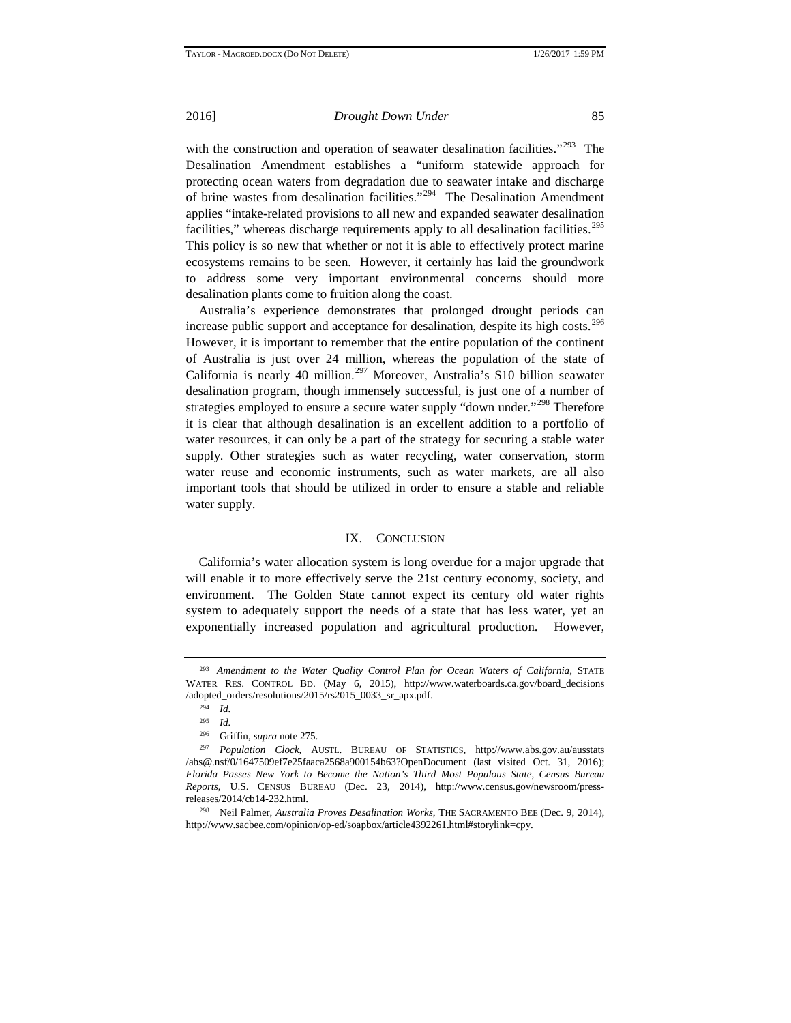with the construction and operation of seawater desalination facilities."<sup>293</sup> The Desalination Amendment establishes a "uniform statewide approach for protecting ocean waters from degradation due to seawater intake and discharge of brine wastes from desalination facilities."[294](#page-32-4) The Desalination Amendment applies "intake-related provisions to all new and expanded seawater desalination facilities," whereas discharge requirements apply to all desalination facilities.<sup>[295](#page-32-5)</sup> This policy is so new that whether or not it is able to effectively protect marine ecosystems remains to be seen. However, it certainly has laid the groundwork to address some very important environmental concerns should more desalination plants come to fruition along the coast.

Australia's experience demonstrates that prolonged drought periods can increase public support and acceptance for desalination, despite its high costs.<sup>[296](#page-32-6)</sup> However, it is important to remember that the entire population of the continent of Australia is just over 24 million, whereas the population of the state of California is nearly 40 million.[297](#page-32-7) Moreover, Australia's \$10 billion seawater desalination program, though immensely successful, is just one of a number of strategies employed to ensure a secure water supply "down under."<sup>[298](#page-32-8)</sup> Therefore it is clear that although desalination is an excellent addition to a portfolio of water resources, it can only be a part of the strategy for securing a stable water supply. Other strategies such as water recycling, water conservation, storm water reuse and economic instruments, such as water markets, are all also important tools that should be utilized in order to ensure a stable and reliable water supply.

#### IX. CONCLUSION

California's water allocation system is long overdue for a major upgrade that will enable it to more effectively serve the 21st century economy, society, and environment. The Golden State cannot expect its century old water rights system to adequately support the needs of a state that has less water, yet an exponentially increased population and agricultural production. However,

<span id="page-32-4"></span><span id="page-32-3"></span><span id="page-32-2"></span><span id="page-32-1"></span><span id="page-32-0"></span><sup>293</sup> *Amendment to the Water Quality Control Plan for Ocean Waters of California*, STATE WATER RES. CONTROL BD. (May 6, 2015), http://www.waterboards.ca.gov/board\_decisions /adopted\_orders/resolutions/2015/rs2015\_0033\_sr\_apx.pdf.

<sup>294</sup> *Id.*

<sup>295</sup> *Id.*

<sup>296</sup> Griffin, *supra* note 275.

<span id="page-32-7"></span><span id="page-32-6"></span><span id="page-32-5"></span><sup>297</sup> *Population Clock*, AUSTL. BUREAU OF STATISTICS, http://www.abs.gov.au/ausstats /abs@.nsf/0/1647509ef7e25faaca2568a900154b63?OpenDocument (last visited Oct. 31, 2016); *Florida Passes New York to Become the Nation's Third Most Populous State*, *Census Bureau Reports*, U.S. CENSUS BUREAU (Dec. 23, 2014), http://www.census.gov/newsroom/pressreleases/2014/cb14-232.html.

<span id="page-32-8"></span><sup>298</sup> Neil Palmer, *Australia Proves Desalination Works*, THE SACRAMENTO BEE (Dec. 9, 2014)*,* http://www.sacbee.com/opinion/op-ed/soapbox/article4392261.html#storylink=cpy.